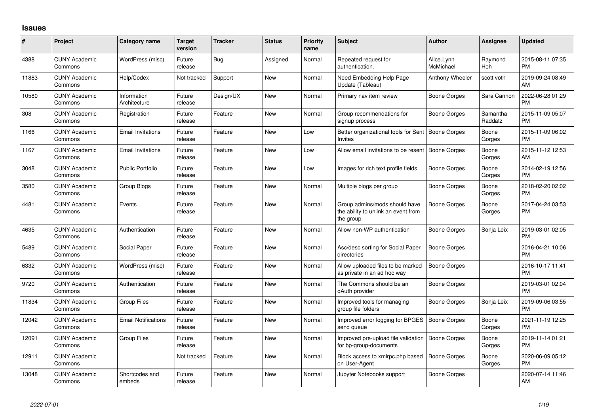## **Issues**

| #     | Project                         | <b>Category name</b>        | <b>Target</b><br>version | <b>Tracker</b> | <b>Status</b> | <b>Priority</b><br>name | <b>Subject</b>                                                                    | <b>Author</b>           | Assignee            | <b>Updated</b>                |
|-------|---------------------------------|-----------------------------|--------------------------|----------------|---------------|-------------------------|-----------------------------------------------------------------------------------|-------------------------|---------------------|-------------------------------|
| 4388  | <b>CUNY Academic</b><br>Commons | WordPress (misc)            | Future<br>release        | Bug            | Assigned      | Normal                  | Repeated request for<br>authentication.                                           | Alice.Lynn<br>McMichael | Raymond<br>Hoh      | 2015-08-11 07:35<br><b>PM</b> |
| 11883 | <b>CUNY Academic</b><br>Commons | Help/Codex                  | Not tracked              | Support        | New           | Normal                  | Need Embedding Help Page<br>Update (Tableau)                                      | Anthony Wheeler         | scott voth          | 2019-09-24 08:49<br>AM        |
| 10580 | <b>CUNY Academic</b><br>Commons | Information<br>Architecture | Future<br>release        | Design/UX      | New           | Normal                  | Primary nav item review                                                           | Boone Gorges            | Sara Cannon         | 2022-06-28 01:29<br>PM        |
| 308   | <b>CUNY Academic</b><br>Commons | Registration                | Future<br>release        | Feature        | New           | Normal                  | Group recommendations for<br>signup process                                       | Boone Gorges            | Samantha<br>Raddatz | 2015-11-09 05:07<br><b>PM</b> |
| 1166  | <b>CUNY Academic</b><br>Commons | <b>Email Invitations</b>    | Future<br>release        | Feature        | <b>New</b>    | Low                     | Better organizational tools for Sent<br>Invites                                   | Boone Gorges            | Boone<br>Gorges     | 2015-11-09 06:02<br><b>PM</b> |
| 1167  | <b>CUNY Academic</b><br>Commons | <b>Email Invitations</b>    | Future<br>release        | Feature        | New           | Low                     | Allow email invitations to be resent                                              | Boone Gorges            | Boone<br>Gorges     | 2015-11-12 12:53<br>AM        |
| 3048  | <b>CUNY Academic</b><br>Commons | Public Portfolio            | Future<br>release        | Feature        | <b>New</b>    | Low                     | Images for rich text profile fields                                               | Boone Gorges            | Boone<br>Gorges     | 2014-02-19 12:56<br><b>PM</b> |
| 3580  | <b>CUNY Academic</b><br>Commons | Group Blogs                 | Future<br>release        | Feature        | New           | Normal                  | Multiple blogs per group                                                          | Boone Gorges            | Boone<br>Gorges     | 2018-02-20 02:02<br><b>PM</b> |
| 4481  | <b>CUNY Academic</b><br>Commons | Events                      | Future<br>release        | Feature        | <b>New</b>    | Normal                  | Group admins/mods should have<br>the ability to unlink an event from<br>the group | Boone Gorges            | Boone<br>Gorges     | 2017-04-24 03:53<br><b>PM</b> |
| 4635  | <b>CUNY Academic</b><br>Commons | Authentication              | Future<br>release        | Feature        | New           | Normal                  | Allow non-WP authentication                                                       | Boone Gorges            | Sonja Leix          | 2019-03-01 02:05<br><b>PM</b> |
| 5489  | <b>CUNY Academic</b><br>Commons | Social Paper                | Future<br>release        | Feature        | <b>New</b>    | Normal                  | Asc/desc sorting for Social Paper<br>directories                                  | Boone Gorges            |                     | 2016-04-21 10:06<br><b>PM</b> |
| 6332  | <b>CUNY Academic</b><br>Commons | WordPress (misc)            | Future<br>release        | Feature        | New           | Normal                  | Allow uploaded files to be marked<br>as private in an ad hoc way                  | Boone Gorges            |                     | 2016-10-17 11:41<br><b>PM</b> |
| 9720  | <b>CUNY Academic</b><br>Commons | Authentication              | Future<br>release        | Feature        | New           | Normal                  | The Commons should be an<br>oAuth provider                                        | Boone Gorges            |                     | 2019-03-01 02:04<br><b>PM</b> |
| 11834 | <b>CUNY Academic</b><br>Commons | <b>Group Files</b>          | Future<br>release        | Feature        | New           | Normal                  | Improved tools for managing<br>group file folders                                 | <b>Boone Gorges</b>     | Sonja Leix          | 2019-09-06 03:55<br><b>PM</b> |
| 12042 | <b>CUNY Academic</b><br>Commons | <b>Email Notifications</b>  | Future<br>release        | Feature        | New           | Normal                  | Improved error logging for BPGES<br>send queue                                    | <b>Boone Gorges</b>     | Boone<br>Gorges     | 2021-11-19 12:25<br><b>PM</b> |
| 12091 | <b>CUNY Academic</b><br>Commons | <b>Group Files</b>          | Future<br>release        | Feature        | New           | Normal                  | Improved pre-upload file validation<br>for bp-group-documents                     | <b>Boone Gorges</b>     | Boone<br>Gorges     | 2019-11-14 01:21<br><b>PM</b> |
| 12911 | <b>CUNY Academic</b><br>Commons |                             | Not tracked              | Feature        | New           | Normal                  | Block access to xmlrpc.php based<br>on User-Agent                                 | Boone Gorges            | Boone<br>Gorges     | 2020-06-09 05:12<br><b>PM</b> |
| 13048 | <b>CUNY Academic</b><br>Commons | Shortcodes and<br>embeds    | Future<br>release        | Feature        | <b>New</b>    | Normal                  | Jupyter Notebooks support                                                         | Boone Gorges            |                     | 2020-07-14 11:46<br>AM        |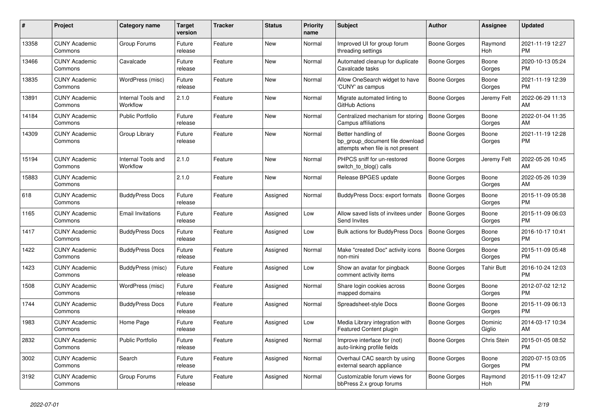| #     | <b>Project</b>                  | <b>Category name</b>           | <b>Target</b><br>version | <b>Tracker</b> | <b>Status</b> | Priority<br>name | <b>Subject</b>                                                                             | <b>Author</b>       | Assignee          | <b>Updated</b>                |
|-------|---------------------------------|--------------------------------|--------------------------|----------------|---------------|------------------|--------------------------------------------------------------------------------------------|---------------------|-------------------|-------------------------------|
| 13358 | <b>CUNY Academic</b><br>Commons | Group Forums                   | Future<br>release        | Feature        | New           | Normal           | Improved UI for group forum<br>threading settings                                          | Boone Gorges        | Raymond<br>Hoh    | 2021-11-19 12:27<br><b>PM</b> |
| 13466 | <b>CUNY Academic</b><br>Commons | Cavalcade                      | Future<br>release        | Feature        | New           | Normal           | Automated cleanup for duplicate<br>Cavalcade tasks                                         | Boone Gorges        | Boone<br>Gorges   | 2020-10-13 05:24<br><b>PM</b> |
| 13835 | <b>CUNY Academic</b><br>Commons | WordPress (misc)               | Future<br>release        | Feature        | New           | Normal           | Allow OneSearch widget to have<br>'CUNY' as campus                                         | Boone Gorges        | Boone<br>Gorges   | 2021-11-19 12:39<br><b>PM</b> |
| 13891 | <b>CUNY Academic</b><br>Commons | Internal Tools and<br>Workflow | 2.1.0                    | Feature        | <b>New</b>    | Normal           | Migrate automated linting to<br>GitHub Actions                                             | Boone Gorges        | Jeremy Felt       | 2022-06-29 11:13<br>AM        |
| 14184 | <b>CUNY Academic</b><br>Commons | <b>Public Portfolio</b>        | Future<br>release        | Feature        | New           | Normal           | Centralized mechanism for storing<br>Campus affiliations                                   | <b>Boone Gorges</b> | Boone<br>Gorges   | 2022-01-04 11:35<br>AM        |
| 14309 | <b>CUNY Academic</b><br>Commons | Group Library                  | Future<br>release        | Feature        | New           | Normal           | Better handling of<br>bp_group_document file download<br>attempts when file is not present | Boone Gorges        | Boone<br>Gorges   | 2021-11-19 12:28<br><b>PM</b> |
| 15194 | <b>CUNY Academic</b><br>Commons | Internal Tools and<br>Workflow | 2.1.0                    | Feature        | <b>New</b>    | Normal           | PHPCS sniff for un-restored<br>switch_to_blog() calls                                      | Boone Gorges        | Jeremy Felt       | 2022-05-26 10:45<br>AM        |
| 15883 | <b>CUNY Academic</b><br>Commons |                                | 2.1.0                    | Feature        | New           | Normal           | Release BPGES update                                                                       | Boone Gorges        | Boone<br>Gorges   | 2022-05-26 10:39<br>AM        |
| 618   | <b>CUNY Academic</b><br>Commons | <b>BuddyPress Docs</b>         | Future<br>release        | Feature        | Assigned      | Normal           | BuddyPress Docs: export formats                                                            | <b>Boone Gorges</b> | Boone<br>Gorges   | 2015-11-09 05:38<br><b>PM</b> |
| 1165  | <b>CUNY Academic</b><br>Commons | <b>Email Invitations</b>       | Future<br>release        | Feature        | Assigned      | Low              | Allow saved lists of invitees under<br>Send Invites                                        | Boone Gorges        | Boone<br>Gorges   | 2015-11-09 06:03<br><b>PM</b> |
| 1417  | <b>CUNY Academic</b><br>Commons | <b>BuddyPress Docs</b>         | Future<br>release        | Feature        | Assigned      | Low              | <b>Bulk actions for BuddyPress Docs</b>                                                    | <b>Boone Gorges</b> | Boone<br>Gorges   | 2016-10-17 10:41<br><b>PM</b> |
| 1422  | <b>CUNY Academic</b><br>Commons | <b>BuddyPress Docs</b>         | Future<br>release        | Feature        | Assigned      | Normal           | Make "created Doc" activity icons<br>non-mini                                              | <b>Boone Gorges</b> | Boone<br>Gorges   | 2015-11-09 05:48<br><b>PM</b> |
| 1423  | <b>CUNY Academic</b><br>Commons | BuddyPress (misc)              | Future<br>release        | Feature        | Assigned      | Low              | Show an avatar for pingback<br>comment activity items                                      | Boone Gorges        | Tahir Butt        | 2016-10-24 12:03<br><b>PM</b> |
| 1508  | <b>CUNY Academic</b><br>Commons | WordPress (misc)               | Future<br>release        | Feature        | Assigned      | Normal           | Share login cookies across<br>mapped domains                                               | Boone Gorges        | Boone<br>Gorges   | 2012-07-02 12:12<br><b>PM</b> |
| 1744  | <b>CUNY Academic</b><br>Commons | <b>BuddyPress Docs</b>         | Future<br>release        | Feature        | Assigned      | Normal           | Spreadsheet-style Docs                                                                     | Boone Gorges        | Boone<br>Gorges   | 2015-11-09 06:13<br><b>PM</b> |
| 1983  | <b>CUNY Academic</b><br>Commons | Home Page                      | Future<br>release        | Feature        | Assigned      | Low              | Media Library integration with<br>Featured Content plugin                                  | Boone Gorges        | Dominic<br>Giglio | 2014-03-17 10:34<br>AM        |
| 2832  | <b>CUNY Academic</b><br>Commons | <b>Public Portfolio</b>        | Future<br>release        | Feature        | Assigned      | Normal           | Improve interface for (not)<br>auto-linking profile fields                                 | Boone Gorges        | Chris Stein       | 2015-01-05 08:52<br><b>PM</b> |
| 3002  | <b>CUNY Academic</b><br>Commons | Search                         | Future<br>release        | Feature        | Assigned      | Normal           | Overhaul CAC search by using<br>external search appliance                                  | Boone Gorges        | Boone<br>Gorges   | 2020-07-15 03:05<br><b>PM</b> |
| 3192  | <b>CUNY Academic</b><br>Commons | Group Forums                   | Future<br>release        | Feature        | Assigned      | Normal           | Customizable forum views for<br>bbPress 2.x group forums                                   | Boone Gorges        | Raymond<br>Hoh    | 2015-11-09 12:47<br><b>PM</b> |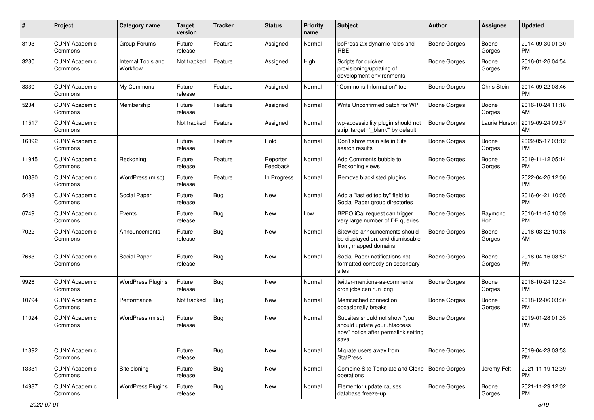| #     | Project                         | <b>Category name</b>           | <b>Target</b><br>version | <b>Tracker</b> | <b>Status</b>        | <b>Priority</b><br>name | <b>Subject</b>                                                                                               | Author              | <b>Assignee</b> | <b>Updated</b>                |
|-------|---------------------------------|--------------------------------|--------------------------|----------------|----------------------|-------------------------|--------------------------------------------------------------------------------------------------------------|---------------------|-----------------|-------------------------------|
| 3193  | <b>CUNY Academic</b><br>Commons | Group Forums                   | Future<br>release        | Feature        | Assigned             | Normal                  | bbPress 2.x dynamic roles and<br><b>RBE</b>                                                                  | <b>Boone Gorges</b> | Boone<br>Gorges | 2014-09-30 01:30<br><b>PM</b> |
| 3230  | <b>CUNY Academic</b><br>Commons | Internal Tools and<br>Workflow | Not tracked              | Feature        | Assigned             | High                    | Scripts for quicker<br>provisioning/updating of<br>development environments                                  | <b>Boone Gorges</b> | Boone<br>Gorges | 2016-01-26 04:54<br><b>PM</b> |
| 3330  | <b>CUNY Academic</b><br>Commons | My Commons                     | Future<br>release        | Feature        | Assigned             | Normal                  | "Commons Information" tool                                                                                   | <b>Boone Gorges</b> | Chris Stein     | 2014-09-22 08:46<br><b>PM</b> |
| 5234  | <b>CUNY Academic</b><br>Commons | Membership                     | Future<br>release        | Feature        | Assigned             | Normal                  | Write Unconfirmed patch for WP                                                                               | <b>Boone Gorges</b> | Boone<br>Gorges | 2016-10-24 11:18<br>AM        |
| 11517 | <b>CUNY Academic</b><br>Commons |                                | Not tracked              | Feature        | Assigned             | Normal                  | wp-accessibility plugin should not<br>strip 'target="_blank"' by default                                     | <b>Boone Gorges</b> | Laurie Hurson   | 2019-09-24 09:57<br>AM        |
| 16092 | <b>CUNY Academic</b><br>Commons |                                | Future<br>release        | Feature        | Hold                 | Normal                  | Don't show main site in Site<br>search results                                                               | <b>Boone Gorges</b> | Boone<br>Gorges | 2022-05-17 03:12<br><b>PM</b> |
| 11945 | <b>CUNY Academic</b><br>Commons | Reckoning                      | Future<br>release        | Feature        | Reporter<br>Feedback | Normal                  | Add Comments bubble to<br>Reckoning views                                                                    | <b>Boone Gorges</b> | Boone<br>Gorges | 2019-11-12 05:14<br><b>PM</b> |
| 10380 | <b>CUNY Academic</b><br>Commons | WordPress (misc)               | Future<br>release        | Feature        | In Progress          | Normal                  | Remove blacklisted plugins                                                                                   | <b>Boone Gorges</b> |                 | 2022-04-26 12:00<br><b>PM</b> |
| 5488  | <b>CUNY Academic</b><br>Commons | Social Paper                   | Future<br>release        | Bug            | <b>New</b>           | Normal                  | Add a "last edited by" field to<br>Social Paper group directories                                            | <b>Boone Gorges</b> |                 | 2016-04-21 10:05<br><b>PM</b> |
| 6749  | <b>CUNY Academic</b><br>Commons | Events                         | Future<br>release        | Bug            | <b>New</b>           | Low                     | BPEO iCal request can trigger<br>very large number of DB queries                                             | Boone Gorges        | Raymond<br>Hoh  | 2016-11-15 10:09<br><b>PM</b> |
| 7022  | <b>CUNY Academic</b><br>Commons | Announcements                  | Future<br>release        | Bug            | <b>New</b>           | Normal                  | Sitewide announcements should<br>be displayed on, and dismissable<br>from, mapped domains                    | <b>Boone Gorges</b> | Boone<br>Gorges | 2018-03-22 10:18<br>AM        |
| 7663  | <b>CUNY Academic</b><br>Commons | Social Paper                   | Future<br>release        | Bug            | <b>New</b>           | Normal                  | Social Paper notifications not<br>formatted correctly on secondary<br>sites                                  | <b>Boone Gorges</b> | Boone<br>Gorges | 2018-04-16 03:52<br><b>PM</b> |
| 9926  | <b>CUNY Academic</b><br>Commons | <b>WordPress Plugins</b>       | Future<br>release        | Bug            | <b>New</b>           | Normal                  | twitter-mentions-as-comments<br>cron jobs can run long                                                       | <b>Boone Gorges</b> | Boone<br>Gorges | 2018-10-24 12:34<br><b>PM</b> |
| 10794 | <b>CUNY Academic</b><br>Commons | Performance                    | Not tracked              | Bug            | <b>New</b>           | Normal                  | Memcached connection<br>occasionally breaks                                                                  | <b>Boone Gorges</b> | Boone<br>Gorges | 2018-12-06 03:30<br><b>PM</b> |
| 11024 | <b>CUNY Academic</b><br>Commons | WordPress (misc)               | Future<br>release        | <b>Bug</b>     | New                  | Normal                  | Subsites should not show "you<br>should update your .htaccess<br>now" notice after permalink setting<br>save | <b>Boone Gorges</b> |                 | 2019-01-28 01:35<br><b>PM</b> |
| 11392 | <b>CUNY Academic</b><br>Commons |                                | Future<br>release        | Bug            | New                  | Normal                  | Migrate users away from<br><b>StatPress</b>                                                                  | <b>Boone Gorges</b> |                 | 2019-04-23 03:53<br><b>PM</b> |
| 13331 | <b>CUNY Academic</b><br>Commons | Site cloning                   | Future<br>release        | Bug            | New                  | Normal                  | Combine Site Template and Clone<br>operations                                                                | Boone Gorges        | Jeremy Felt     | 2021-11-19 12:39<br><b>PM</b> |
| 14987 | <b>CUNY Academic</b><br>Commons | <b>WordPress Plugins</b>       | Future<br>release        | <b>Bug</b>     | New                  | Normal                  | Elementor update causes<br>database freeze-up                                                                | <b>Boone Gorges</b> | Boone<br>Gorges | 2021-11-29 12:02<br>PM        |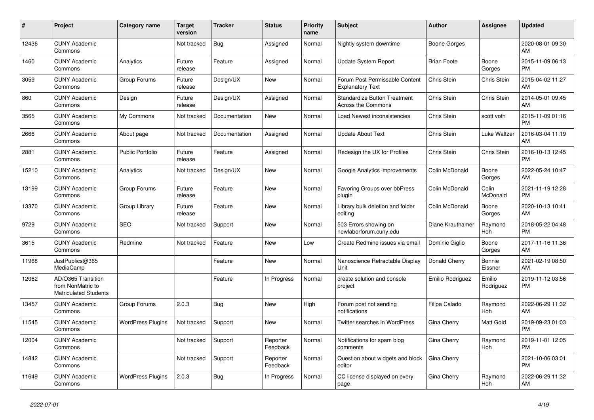| #     | <b>Project</b>                                                          | Category name            | <b>Target</b><br>version | <b>Tracker</b> | <b>Status</b>        | <b>Priority</b><br>name | <b>Subject</b>                                                   | <b>Author</b>      | Assignee            | <b>Updated</b>                |
|-------|-------------------------------------------------------------------------|--------------------------|--------------------------|----------------|----------------------|-------------------------|------------------------------------------------------------------|--------------------|---------------------|-------------------------------|
| 12436 | <b>CUNY Academic</b><br>Commons                                         |                          | Not tracked              | <b>Bug</b>     | Assigned             | Normal                  | Nightly system downtime                                          | Boone Gorges       |                     | 2020-08-01 09:30<br>AM        |
| 1460  | <b>CUNY Academic</b><br>Commons                                         | Analytics                | Future<br>release        | Feature        | Assigned             | Normal                  | Update System Report                                             | <b>Brian Foote</b> | Boone<br>Gorges     | 2015-11-09 06:13<br><b>PM</b> |
| 3059  | <b>CUNY Academic</b><br>Commons                                         | Group Forums             | Future<br>release        | Design/UX      | New                  | Normal                  | Forum Post Permissable Content<br><b>Explanatory Text</b>        | Chris Stein        | <b>Chris Stein</b>  | 2015-04-02 11:27<br>AM        |
| 860   | <b>CUNY Academic</b><br>Commons                                         | Design                   | Future<br>release        | Design/UX      | Assigned             | Normal                  | <b>Standardize Button Treatment</b><br><b>Across the Commons</b> | Chris Stein        | Chris Stein         | 2014-05-01 09:45<br>AM        |
| 3565  | <b>CUNY Academic</b><br>Commons                                         | My Commons               | Not tracked              | Documentation  | New                  | Normal                  | Load Newest inconsistencies                                      | Chris Stein        | scott voth          | 2015-11-09 01:16<br><b>PM</b> |
| 2666  | <b>CUNY Academic</b><br>Commons                                         | About page               | Not tracked              | Documentation  | Assigned             | Normal                  | <b>Update About Text</b>                                         | Chris Stein        | Luke Waltzer        | 2016-03-04 11:19<br>AM        |
| 2881  | <b>CUNY Academic</b><br>Commons                                         | <b>Public Portfolio</b>  | Future<br>release        | Feature        | Assigned             | Normal                  | Redesign the UX for Profiles                                     | Chris Stein        | Chris Stein         | 2016-10-13 12:45<br><b>PM</b> |
| 15210 | <b>CUNY Academic</b><br>Commons                                         | Analytics                | Not tracked              | Design/UX      | <b>New</b>           | Normal                  | Google Analytics improvements                                    | Colin McDonald     | Boone<br>Gorges     | 2022-05-24 10:47<br>AM        |
| 13199 | <b>CUNY Academic</b><br>Commons                                         | Group Forums             | Future<br>release        | Feature        | New                  | Normal                  | <b>Favoring Groups over bbPress</b><br>plugin                    | Colin McDonald     | Colin<br>McDonald   | 2021-11-19 12:28<br><b>PM</b> |
| 13370 | <b>CUNY Academic</b><br>Commons                                         | Group Library            | Future<br>release        | Feature        | New                  | Normal                  | Library bulk deletion and folder<br>editing                      | Colin McDonald     | Boone<br>Gorges     | 2020-10-13 10:41<br>AM        |
| 9729  | <b>CUNY Academic</b><br>Commons                                         | <b>SEO</b>               | Not tracked              | Support        | <b>New</b>           | Normal                  | 503 Errors showing on<br>newlaborforum.cuny.edu                  | Diane Krauthamer   | Raymond<br>Hoh      | 2018-05-22 04:48<br><b>PM</b> |
| 3615  | <b>CUNY Academic</b><br>Commons                                         | Redmine                  | Not tracked              | Feature        | New                  | Low                     | Create Redmine issues via email                                  | Dominic Giglio     | Boone<br>Gorges     | 2017-11-16 11:36<br>AM        |
| 11968 | JustPublics@365<br>MediaCamp                                            |                          |                          | Feature        | New                  | Normal                  | Nanoscience Retractable Display<br>Unit                          | Donald Cherry      | Bonnie<br>Eissner   | 2021-02-19 08:50<br>AM        |
| 12062 | AD/O365 Transition<br>from NonMatric to<br><b>Matriculated Students</b> |                          |                          | Feature        | In Progress          | Normal                  | create solution and console<br>project                           | Emilio Rodriguez   | Emilio<br>Rodriguez | 2019-11-12 03:56<br><b>PM</b> |
| 13457 | <b>CUNY Academic</b><br>Commons                                         | Group Forums             | 2.0.3                    | Bug            | New                  | High                    | Forum post not sending<br>notifications                          | Filipa Calado      | Raymond<br>Hoh      | 2022-06-29 11:32<br>AM        |
| 11545 | <b>CUNY Academic</b><br>Commons                                         | <b>WordPress Plugins</b> | Not tracked              | Support        | <b>New</b>           | Normal                  | Twitter searches in WordPress                                    | Gina Cherry        | Matt Gold           | 2019-09-23 01:03<br><b>PM</b> |
| 12004 | <b>CUNY Academic</b><br>Commons                                         |                          | Not tracked              | Support        | Reporter<br>Feedback | Normal                  | Notifications for spam blog<br>comments                          | Gina Cherry        | Raymond<br>Hoh      | 2019-11-01 12:05<br><b>PM</b> |
| 14842 | <b>CUNY Academic</b><br>Commons                                         |                          | Not tracked              | Support        | Reporter<br>Feedback | Normal                  | Question about widgets and block<br>editor                       | Gina Cherry        |                     | 2021-10-06 03:01<br><b>PM</b> |
| 11649 | <b>CUNY Academic</b><br>Commons                                         | <b>WordPress Plugins</b> | 2.0.3                    | Bug            | In Progress          | Normal                  | CC license displayed on every<br>page                            | Gina Cherry        | Raymond<br>Hoh      | 2022-06-29 11:32<br>AM        |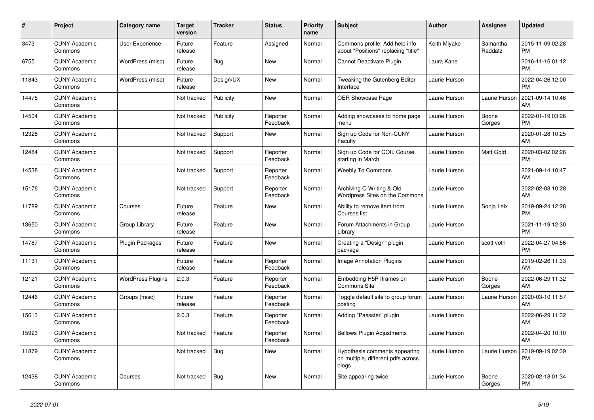| $\pmb{\sharp}$ | Project                         | <b>Category name</b>     | <b>Target</b><br>version | <b>Tracker</b> | <b>Status</b>        | <b>Priority</b><br>name | <b>Subject</b>                                                               | <b>Author</b> | Assignee            | <b>Updated</b>                |
|----------------|---------------------------------|--------------------------|--------------------------|----------------|----------------------|-------------------------|------------------------------------------------------------------------------|---------------|---------------------|-------------------------------|
| 3473           | <b>CUNY Academic</b><br>Commons | <b>User Experience</b>   | Future<br>release        | Feature        | Assigned             | Normal                  | Commons profile: Add help info<br>about "Positions" replacing "title"        | Keith Miyake  | Samantha<br>Raddatz | 2015-11-09 02:28<br><b>PM</b> |
| 6755           | <b>CUNY Academic</b><br>Commons | WordPress (misc)         | Future<br>release        | Bug            | New                  | Normal                  | Cannot Deactivate Plugin                                                     | Laura Kane    |                     | 2016-11-16 01:12<br><b>PM</b> |
| 11843          | <b>CUNY Academic</b><br>Commons | WordPress (misc)         | Future<br>release        | Design/UX      | <b>New</b>           | Normal                  | Tweaking the Gutenberg Editor<br>Interface                                   | Laurie Hurson |                     | 2022-04-26 12:00<br><b>PM</b> |
| 14475          | <b>CUNY Academic</b><br>Commons |                          | Not tracked              | Publicity      | <b>New</b>           | Normal                  | <b>OER Showcase Page</b>                                                     | Laurie Hurson | Laurie Hurson       | 2021-09-14 10:46<br>AM        |
| 14504          | <b>CUNY Academic</b><br>Commons |                          | Not tracked              | Publicity      | Reporter<br>Feedback | Normal                  | Adding showcases to home page<br>menu                                        | Laurie Hurson | Boone<br>Gorges     | 2022-01-19 03:26<br><b>PM</b> |
| 12328          | <b>CUNY Academic</b><br>Commons |                          | Not tracked              | Support        | New                  | Normal                  | Sign up Code for Non-CUNY<br>Faculty                                         | Laurie Hurson |                     | 2020-01-28 10:25<br>AM        |
| 12484          | <b>CUNY Academic</b><br>Commons |                          | Not tracked              | Support        | Reporter<br>Feedback | Normal                  | Sign up Code for COIL Course<br>starting in March                            | Laurie Hurson | Matt Gold           | 2020-03-02 02:26<br><b>PM</b> |
| 14538          | <b>CUNY Academic</b><br>Commons |                          | Not tracked              | Support        | Reporter<br>Feedback | Normal                  | <b>Weebly To Commons</b>                                                     | Laurie Hurson |                     | 2021-09-14 10:47<br>AM        |
| 15176          | <b>CUNY Academic</b><br>Commons |                          | Not tracked              | Support        | Reporter<br>Feedback | Normal                  | Archiving Q Writing & Old<br>Wordpress Sites on the Commons                  | Laurie Hurson |                     | 2022-02-08 10:28<br>AM        |
| 11789          | <b>CUNY Academic</b><br>Commons | Courses                  | Future<br>release        | Feature        | New                  | Normal                  | Ability to remove item from<br>Courses list                                  | Laurie Hurson | Sonja Leix          | 2019-09-24 12:28<br><b>PM</b> |
| 13650          | <b>CUNY Academic</b><br>Commons | Group Library            | Future<br>release        | Feature        | <b>New</b>           | Normal                  | Forum Attachments in Group<br>Library                                        | Laurie Hurson |                     | 2021-11-19 12:30<br><b>PM</b> |
| 14787          | <b>CUNY Academic</b><br>Commons | <b>Plugin Packages</b>   | Future<br>release        | Feature        | New                  | Normal                  | Creating a "Design" plugin<br>package                                        | Laurie Hurson | scott voth          | 2022-04-27 04:56<br><b>PM</b> |
| 11131          | <b>CUNY Academic</b><br>Commons |                          | Future<br>release        | Feature        | Reporter<br>Feedback | Normal                  | <b>Image Annotation Plugins</b>                                              | Laurie Hurson |                     | 2019-02-26 11:33<br>AM        |
| 12121          | <b>CUNY Academic</b><br>Commons | <b>WordPress Plugins</b> | 2.0.3                    | Feature        | Reporter<br>Feedback | Normal                  | Embedding H5P Iframes on<br><b>Commons Site</b>                              | Laurie Hurson | Boone<br>Gorges     | 2022-06-29 11:32<br>AM        |
| 12446          | <b>CUNY Academic</b><br>Commons | Groups (misc)            | Future<br>release        | Feature        | Reporter<br>Feedback | Normal                  | Toggle default site to group forum<br>posting                                | Laurie Hurson | Laurie Hurson       | 2020-03-10 11:57<br>AM        |
| 15613          | <b>CUNY Academic</b><br>Commons |                          | 2.0.3                    | Feature        | Reporter<br>Feedback | Normal                  | Adding "Passster" plugin                                                     | Laurie Hurson |                     | 2022-06-29 11:32<br>AM        |
| 15923          | <b>CUNY Academic</b><br>Commons |                          | Not tracked              | Feature        | Reporter<br>Feedback | Normal                  | <b>Bellows Plugin Adjustments</b>                                            | Laurie Hurson |                     | 2022-04-20 10:10<br>AM        |
| 11879          | <b>CUNY Academic</b><br>Commons |                          | Not tracked              | Bug            | New                  | Normal                  | Hypothesis comments appearing<br>on multiple, different pdfs across<br>blogs | Laurie Hurson | Laurie Hurson       | 2019-09-19 02:39<br><b>PM</b> |
| 12438          | <b>CUNY Academic</b><br>Commons | Courses                  | Not tracked              | Bug            | <b>New</b>           | Normal                  | Site appearing twice                                                         | Laurie Hurson | Boone<br>Gorges     | 2020-02-18 01:34<br><b>PM</b> |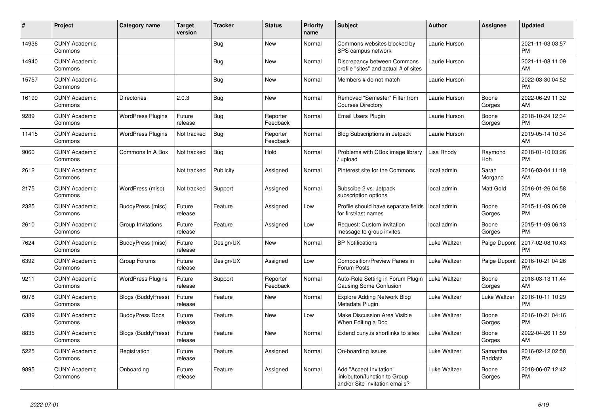| #     | Project                         | <b>Category name</b>      | <b>Target</b><br>version | <b>Tracker</b> | <b>Status</b>        | <b>Priority</b><br>name | <b>Subject</b>                                                                             | <b>Author</b> | <b>Assignee</b>     | <b>Updated</b>                |
|-------|---------------------------------|---------------------------|--------------------------|----------------|----------------------|-------------------------|--------------------------------------------------------------------------------------------|---------------|---------------------|-------------------------------|
| 14936 | <b>CUNY Academic</b><br>Commons |                           |                          | Bug            | New                  | Normal                  | Commons websites blocked by<br>SPS campus network                                          | Laurie Hurson |                     | 2021-11-03 03:57<br><b>PM</b> |
| 14940 | <b>CUNY Academic</b><br>Commons |                           |                          | Bug            | New                  | Normal                  | Discrepancy between Commons<br>profile "sites" and actual # of sites                       | Laurie Hurson |                     | 2021-11-08 11:09<br>AM        |
| 15757 | <b>CUNY Academic</b><br>Commons |                           |                          | <b>Bug</b>     | <b>New</b>           | Normal                  | Members # do not match                                                                     | Laurie Hurson |                     | 2022-03-30 04:52<br><b>PM</b> |
| 16199 | <b>CUNY Academic</b><br>Commons | <b>Directories</b>        | 2.0.3                    | Bug            | <b>New</b>           | Normal                  | Removed "Semester" Filter from<br><b>Courses Directory</b>                                 | Laurie Hurson | Boone<br>Gorges     | 2022-06-29 11:32<br>AM        |
| 9289  | <b>CUNY Academic</b><br>Commons | <b>WordPress Plugins</b>  | Future<br>release        | Bug            | Reporter<br>Feedback | Normal                  | Email Users Plugin                                                                         | Laurie Hurson | Boone<br>Gorges     | 2018-10-24 12:34<br><b>PM</b> |
| 11415 | <b>CUNY Academic</b><br>Commons | <b>WordPress Plugins</b>  | Not tracked              | Bug            | Reporter<br>Feedback | Normal                  | Blog Subscriptions in Jetpack                                                              | Laurie Hurson |                     | 2019-05-14 10:34<br>AM        |
| 9060  | <b>CUNY Academic</b><br>Commons | Commons In A Box          | Not tracked              | Bug            | Hold                 | Normal                  | Problems with CBox image library<br>/ upload                                               | Lisa Rhody    | Raymond<br>Hoh      | 2018-01-10 03:26<br><b>PM</b> |
| 2612  | <b>CUNY Academic</b><br>Commons |                           | Not tracked              | Publicity      | Assigned             | Normal                  | Pinterest site for the Commons                                                             | local admin   | Sarah<br>Morgano    | 2016-03-04 11:19<br>AM        |
| 2175  | <b>CUNY Academic</b><br>Commons | WordPress (misc)          | Not tracked              | Support        | Assigned             | Normal                  | Subscibe 2 vs. Jetpack<br>subscription options                                             | local admin   | Matt Gold           | 2016-01-26 04:58<br><b>PM</b> |
| 2325  | <b>CUNY Academic</b><br>Commons | BuddyPress (misc)         | Future<br>release        | Feature        | Assigned             | Low                     | Profile should have separate fields<br>for first/last names                                | local admin   | Boone<br>Gorges     | 2015-11-09 06:09<br><b>PM</b> |
| 2610  | <b>CUNY Academic</b><br>Commons | Group Invitations         | Future<br>release        | Feature        | Assigned             | Low                     | Request: Custom invitation<br>message to group invites                                     | local admin   | Boone<br>Gorges     | 2015-11-09 06:13<br><b>PM</b> |
| 7624  | <b>CUNY Academic</b><br>Commons | BuddyPress (misc)         | Future<br>release        | Design/UX      | New                  | Normal                  | <b>BP Notifications</b>                                                                    | Luke Waltzer  | Paige Dupont        | 2017-02-08 10:43<br><b>PM</b> |
| 6392  | <b>CUNY Academic</b><br>Commons | Group Forums              | Future<br>release        | Design/UX      | Assigned             | Low                     | Composition/Preview Panes in<br>Forum Posts                                                | Luke Waltzer  | Paige Dupont        | 2016-10-21 04:26<br><b>PM</b> |
| 9211  | <b>CUNY Academic</b><br>Commons | <b>WordPress Plugins</b>  | Future<br>release        | Support        | Reporter<br>Feedback | Normal                  | Auto-Role Setting in Forum Plugin<br>Causing Some Confusion                                | Luke Waltzer  | Boone<br>Gorges     | 2018-03-13 11:44<br>AM        |
| 6078  | <b>CUNY Academic</b><br>Commons | Blogs (BuddyPress)        | Future<br>release        | Feature        | <b>New</b>           | Normal                  | <b>Explore Adding Network Blog</b><br>Metadata Plugin                                      | Luke Waltzer  | Luke Waltzer        | 2016-10-11 10:29<br><b>PM</b> |
| 6389  | <b>CUNY Academic</b><br>Commons | <b>BuddyPress Docs</b>    | Future<br>release        | Feature        | New                  | Low                     | <b>Make Discussion Area Visible</b><br>When Editing a Doc                                  | Luke Waltzer  | Boone<br>Gorges     | 2016-10-21 04:16<br><b>PM</b> |
| 8835  | <b>CUNY Academic</b><br>Commons | <b>Blogs (BuddyPress)</b> | Future<br>release        | Feature        | New                  | Normal                  | Extend cuny.is shortlinks to sites                                                         | Luke Waltzer  | Boone<br>Gorges     | 2022-04-26 11:59<br>AM        |
| 5225  | <b>CUNY Academic</b><br>Commons | Registration              | Future<br>release        | Feature        | Assigned             | Normal                  | On-boarding Issues                                                                         | Luke Waltzer  | Samantha<br>Raddatz | 2016-02-12 02:58<br><b>PM</b> |
| 9895  | <b>CUNY Academic</b><br>Commons | Onboarding                | Future<br>release        | Feature        | Assigned             | Normal                  | Add "Accept Invitation"<br>link/button/function to Group<br>and/or Site invitation emails? | Luke Waltzer  | Boone<br>Gorges     | 2018-06-07 12:42<br><b>PM</b> |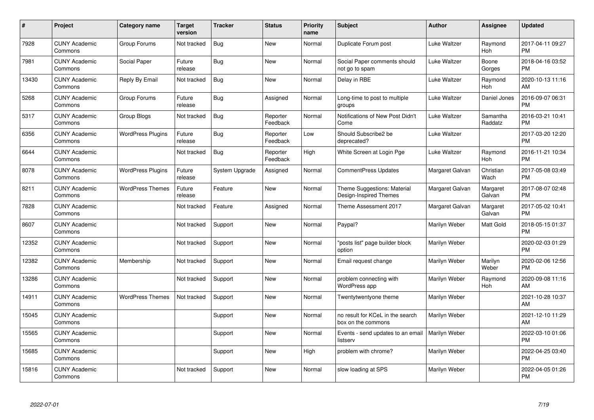| #     | <b>Project</b>                  | Category name            | <b>Target</b><br>version | <b>Tracker</b> | <b>Status</b>        | <b>Priority</b><br>name | <b>Subject</b>                                         | <b>Author</b>   | Assignee            | <b>Updated</b>                |
|-------|---------------------------------|--------------------------|--------------------------|----------------|----------------------|-------------------------|--------------------------------------------------------|-----------------|---------------------|-------------------------------|
| 7928  | <b>CUNY Academic</b><br>Commons | Group Forums             | Not tracked              | <b>Bug</b>     | New                  | Normal                  | Duplicate Forum post                                   | Luke Waltzer    | Raymond<br>Hoh      | 2017-04-11 09:27<br><b>PM</b> |
| 7981  | <b>CUNY Academic</b><br>Commons | Social Paper             | Future<br>release        | Bug            | New                  | Normal                  | Social Paper comments should<br>not go to spam         | Luke Waltzer    | Boone<br>Gorges     | 2018-04-16 03:52<br><b>PM</b> |
| 13430 | <b>CUNY Academic</b><br>Commons | Reply By Email           | Not tracked              | <b>Bug</b>     | <b>New</b>           | Normal                  | Delay in RBE                                           | Luke Waltzer    | Raymond<br>Hoh      | 2020-10-13 11:16<br>AM        |
| 5268  | <b>CUNY Academic</b><br>Commons | Group Forums             | Future<br>release        | Bug            | Assigned             | Normal                  | Long-time to post to multiple<br>groups                | Luke Waltzer    | Daniel Jones        | 2016-09-07 06:31<br><b>PM</b> |
| 5317  | <b>CUNY Academic</b><br>Commons | Group Blogs              | Not tracked              | <b>Bug</b>     | Reporter<br>Feedback | Normal                  | Notifications of New Post Didn't<br>Come               | Luke Waltzer    | Samantha<br>Raddatz | 2016-03-21 10:41<br><b>PM</b> |
| 6356  | <b>CUNY Academic</b><br>Commons | <b>WordPress Plugins</b> | Future<br>release        | Bug            | Reporter<br>Feedback | Low                     | Should Subscribe2 be<br>deprecated?                    | Luke Waltzer    |                     | 2017-03-20 12:20<br><b>PM</b> |
| 6644  | <b>CUNY Academic</b><br>Commons |                          | Not tracked              | <b>Bug</b>     | Reporter<br>Feedback | High                    | White Screen at Login Pge                              | Luke Waltzer    | Raymond<br>Hoh      | 2016-11-21 10:34<br><b>PM</b> |
| 8078  | <b>CUNY Academic</b><br>Commons | <b>WordPress Plugins</b> | Future<br>release        | System Upgrade | Assigned             | Normal                  | CommentPress Updates                                   | Margaret Galvan | Christian<br>Wach   | 2017-05-08 03:49<br><b>PM</b> |
| 8211  | <b>CUNY Academic</b><br>Commons | <b>WordPress Themes</b>  | Future<br>release        | Feature        | <b>New</b>           | Normal                  | Theme Suggestions: Material<br>Design-Inspired Themes  | Margaret Galvan | Margaret<br>Galvan  | 2017-08-07 02:48<br><b>PM</b> |
| 7828  | <b>CUNY Academic</b><br>Commons |                          | Not tracked              | Feature        | Assigned             | Normal                  | Theme Assessment 2017                                  | Margaret Galvan | Margaret<br>Galvan  | 2017-05-02 10:41<br><b>PM</b> |
| 8607  | <b>CUNY Academic</b><br>Commons |                          | Not tracked              | Support        | <b>New</b>           | Normal                  | Paypal?                                                | Marilyn Weber   | Matt Gold           | 2018-05-15 01:37<br><b>PM</b> |
| 12352 | <b>CUNY Academic</b><br>Commons |                          | Not tracked              | Support        | <b>New</b>           | Normal                  | "posts list" page builder block<br>option              | Marilyn Weber   |                     | 2020-02-03 01:29<br><b>PM</b> |
| 12382 | <b>CUNY Academic</b><br>Commons | Membership               | Not tracked              | Support        | <b>New</b>           | Normal                  | Email request change                                   | Marilyn Weber   | Marilyn<br>Weber    | 2020-02-06 12:56<br><b>PM</b> |
| 13286 | <b>CUNY Academic</b><br>Commons |                          | Not tracked              | Support        | <b>New</b>           | Normal                  | problem connecting with<br>WordPress app               | Marilyn Weber   | Raymond<br>Hoh      | 2020-09-08 11:16<br>AM        |
| 14911 | <b>CUNY Academic</b><br>Commons | <b>WordPress Themes</b>  | Not tracked              | Support        | <b>New</b>           | Normal                  | Twentytwentyone theme                                  | Marilyn Weber   |                     | 2021-10-28 10:37<br>AM        |
| 15045 | <b>CUNY Academic</b><br>Commons |                          |                          | Support        | <b>New</b>           | Normal                  | no result for KCeL in the search<br>box on the commons | Marilyn Weber   |                     | 2021-12-10 11:29<br>AM        |
| 15565 | <b>CUNY Academic</b><br>Commons |                          |                          | Support        | <b>New</b>           | Normal                  | Events - send updates to an email<br>listserv          | Marilyn Weber   |                     | 2022-03-10 01:06<br><b>PM</b> |
| 15685 | <b>CUNY Academic</b><br>Commons |                          |                          | Support        | New                  | High                    | problem with chrome?                                   | Marilyn Weber   |                     | 2022-04-25 03:40<br><b>PM</b> |
| 15816 | <b>CUNY Academic</b><br>Commons |                          | Not tracked              | Support        | New                  | Normal                  | slow loading at SPS                                    | Marilyn Weber   |                     | 2022-04-05 01:26<br><b>PM</b> |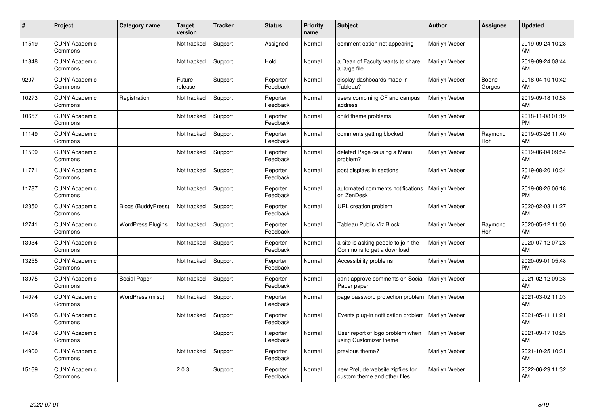| #     | Project                         | <b>Category name</b>     | <b>Target</b><br>version | <b>Tracker</b> | <b>Status</b>        | <b>Priority</b><br>name | <b>Subject</b>                                                    | <b>Author</b> | <b>Assignee</b> | <b>Updated</b>                |
|-------|---------------------------------|--------------------------|--------------------------|----------------|----------------------|-------------------------|-------------------------------------------------------------------|---------------|-----------------|-------------------------------|
| 11519 | <b>CUNY Academic</b><br>Commons |                          | Not tracked              | Support        | Assigned             | Normal                  | comment option not appearing                                      | Marilyn Weber |                 | 2019-09-24 10:28<br>AM        |
| 11848 | <b>CUNY Academic</b><br>Commons |                          | Not tracked              | Support        | Hold                 | Normal                  | a Dean of Faculty wants to share<br>a large file                  | Marilyn Weber |                 | 2019-09-24 08:44<br>AM        |
| 9207  | <b>CUNY Academic</b><br>Commons |                          | Future<br>release        | Support        | Reporter<br>Feedback | Normal                  | display dashboards made in<br>Tableau?                            | Marilyn Weber | Boone<br>Gorges | 2018-04-10 10:42<br>AM        |
| 10273 | <b>CUNY Academic</b><br>Commons | Registration             | Not tracked              | Support        | Reporter<br>Feedback | Normal                  | users combining CF and campus<br>address                          | Marilyn Weber |                 | 2019-09-18 10:58<br>AM        |
| 10657 | <b>CUNY Academic</b><br>Commons |                          | Not tracked              | Support        | Reporter<br>Feedback | Normal                  | child theme problems                                              | Marilyn Weber |                 | 2018-11-08 01:19<br><b>PM</b> |
| 11149 | <b>CUNY Academic</b><br>Commons |                          | Not tracked              | Support        | Reporter<br>Feedback | Normal                  | comments getting blocked                                          | Marilyn Weber | Raymond<br>Hoh  | 2019-03-26 11:40<br>AM        |
| 11509 | <b>CUNY Academic</b><br>Commons |                          | Not tracked              | Support        | Reporter<br>Feedback | Normal                  | deleted Page causing a Menu<br>problem?                           | Marilyn Weber |                 | 2019-06-04 09:54<br>AM        |
| 11771 | <b>CUNY Academic</b><br>Commons |                          | Not tracked              | Support        | Reporter<br>Feedback | Normal                  | post displays in sections                                         | Marilyn Weber |                 | 2019-08-20 10:34<br>AM        |
| 11787 | <b>CUNY Academic</b><br>Commons |                          | Not tracked              | Support        | Reporter<br>Feedback | Normal                  | automated comments notifications<br>on ZenDesk                    | Marilyn Weber |                 | 2019-08-26 06:18<br><b>PM</b> |
| 12350 | <b>CUNY Academic</b><br>Commons | Blogs (BuddyPress)       | Not tracked              | Support        | Reporter<br>Feedback | Normal                  | URL creation problem                                              | Marilyn Weber |                 | 2020-02-03 11:27<br>AM        |
| 12741 | <b>CUNY Academic</b><br>Commons | <b>WordPress Plugins</b> | Not tracked              | Support        | Reporter<br>Feedback | Normal                  | Tableau Public Viz Block                                          | Marilyn Weber | Raymond<br>Hoh  | 2020-05-12 11:00<br>AM        |
| 13034 | <b>CUNY Academic</b><br>Commons |                          | Not tracked              | Support        | Reporter<br>Feedback | Normal                  | a site is asking people to join the<br>Commons to get a download  | Marilyn Weber |                 | 2020-07-12 07:23<br>AM        |
| 13255 | <b>CUNY Academic</b><br>Commons |                          | Not tracked              | Support        | Reporter<br>Feedback | Normal                  | Accessibility problems                                            | Marilyn Weber |                 | 2020-09-01 05:48<br><b>PM</b> |
| 13975 | <b>CUNY Academic</b><br>Commons | Social Paper             | Not tracked              | Support        | Reporter<br>Feedback | Normal                  | can't approve comments on Social<br>Paper paper                   | Marilyn Weber |                 | 2021-02-12 09:33<br>AM        |
| 14074 | <b>CUNY Academic</b><br>Commons | WordPress (misc)         | Not tracked              | Support        | Reporter<br>Feedback | Normal                  | page password protection problem                                  | Marilyn Weber |                 | 2021-03-02 11:03<br>AM        |
| 14398 | <b>CUNY Academic</b><br>Commons |                          | Not tracked              | Support        | Reporter<br>Feedback | Normal                  | Events plug-in notification problem                               | Marilyn Weber |                 | 2021-05-11 11:21<br>AM        |
| 14784 | <b>CUNY Academic</b><br>Commons |                          |                          | Support        | Reporter<br>Feedback | Normal                  | User report of logo problem when<br>using Customizer theme        | Marilyn Weber |                 | 2021-09-17 10:25<br>AM        |
| 14900 | <b>CUNY Academic</b><br>Commons |                          | Not tracked              | Support        | Reporter<br>Feedback | Normal                  | previous theme?                                                   | Marilyn Weber |                 | 2021-10-25 10:31<br>AM        |
| 15169 | <b>CUNY Academic</b><br>Commons |                          | 2.0.3                    | Support        | Reporter<br>Feedback | Normal                  | new Prelude website zipfiles for<br>custom theme and other files. | Marilyn Weber |                 | 2022-06-29 11:32<br>AM        |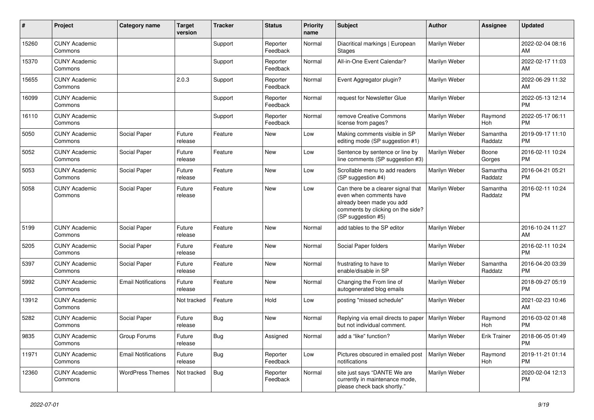| #     | Project                         | <b>Category name</b>       | <b>Target</b><br>version | Tracker    | <b>Status</b>        | Priority<br>name | <b>Subject</b>                                                                                                                                        | Author        | <b>Assignee</b>     | <b>Updated</b>                |
|-------|---------------------------------|----------------------------|--------------------------|------------|----------------------|------------------|-------------------------------------------------------------------------------------------------------------------------------------------------------|---------------|---------------------|-------------------------------|
| 15260 | <b>CUNY Academic</b><br>Commons |                            |                          | Support    | Reporter<br>Feedback | Normal           | Diacritical markings   European<br>Stages                                                                                                             | Marilyn Weber |                     | 2022-02-04 08:16<br>AM        |
| 15370 | <b>CUNY Academic</b><br>Commons |                            |                          | Support    | Reporter<br>Feedback | Normal           | All-in-One Event Calendar?                                                                                                                            | Marilyn Weber |                     | 2022-02-17 11:03<br>AM        |
| 15655 | <b>CUNY Academic</b><br>Commons |                            | 2.0.3                    | Support    | Reporter<br>Feedback | Normal           | Event Aggregator plugin?                                                                                                                              | Marilyn Weber |                     | 2022-06-29 11:32<br>AM        |
| 16099 | <b>CUNY Academic</b><br>Commons |                            |                          | Support    | Reporter<br>Feedback | Normal           | request for Newsletter Glue                                                                                                                           | Marilyn Weber |                     | 2022-05-13 12:14<br><b>PM</b> |
| 16110 | <b>CUNY Academic</b><br>Commons |                            |                          | Support    | Reporter<br>Feedback | Normal           | remove Creative Commons<br>license from pages?                                                                                                        | Marilyn Weber | Raymond<br>Hoh      | 2022-05-17 06:11<br><b>PM</b> |
| 5050  | <b>CUNY Academic</b><br>Commons | Social Paper               | Future<br>release        | Feature    | New                  | Low              | Making comments visible in SP<br>editing mode (SP suggestion #1)                                                                                      | Marilyn Weber | Samantha<br>Raddatz | 2019-09-17 11:10<br><b>PM</b> |
| 5052  | <b>CUNY Academic</b><br>Commons | Social Paper               | Future<br>release        | Feature    | <b>New</b>           | Low              | Sentence by sentence or line by<br>line comments (SP suggestion #3)                                                                                   | Marilyn Weber | Boone<br>Gorges     | 2016-02-11 10:24<br><b>PM</b> |
| 5053  | <b>CUNY Academic</b><br>Commons | Social Paper               | Future<br>release        | Feature    | <b>New</b>           | Low              | Scrollable menu to add readers<br>(SP suggestion #4)                                                                                                  | Marilyn Weber | Samantha<br>Raddatz | 2016-04-21 05:21<br><b>PM</b> |
| 5058  | <b>CUNY Academic</b><br>Commons | Social Paper               | Future<br>release        | Feature    | <b>New</b>           | Low              | Can there be a clearer signal that<br>even when comments have<br>already been made you add<br>comments by clicking on the side?<br>(SP suggestion #5) | Marilyn Weber | Samantha<br>Raddatz | 2016-02-11 10:24<br><b>PM</b> |
| 5199  | <b>CUNY Academic</b><br>Commons | Social Paper               | Future<br>release        | Feature    | <b>New</b>           | Normal           | add tables to the SP editor                                                                                                                           | Marilyn Weber |                     | 2016-10-24 11:27<br>AM        |
| 5205  | <b>CUNY Academic</b><br>Commons | Social Paper               | Future<br>release        | Feature    | <b>New</b>           | Normal           | Social Paper folders                                                                                                                                  | Marilyn Weber |                     | 2016-02-11 10:24<br><b>PM</b> |
| 5397  | <b>CUNY Academic</b><br>Commons | Social Paper               | Future<br>release        | Feature    | <b>New</b>           | Normal           | frustrating to have to<br>enable/disable in SP                                                                                                        | Marilyn Weber | Samantha<br>Raddatz | 2016-04-20 03:39<br><b>PM</b> |
| 5992  | <b>CUNY Academic</b><br>Commons | <b>Email Notifications</b> | Future<br>release        | Feature    | <b>New</b>           | Normal           | Changing the From line of<br>autogenerated blog emails                                                                                                | Marilyn Weber |                     | 2018-09-27 05:19<br><b>PM</b> |
| 13912 | <b>CUNY Academic</b><br>Commons |                            | Not tracked              | Feature    | Hold                 | Low              | posting "missed schedule"                                                                                                                             | Marilyn Weber |                     | 2021-02-23 10:46<br>AM        |
| 5282  | <b>CUNY Academic</b><br>Commons | Social Paper               | Future<br>release        | Bug        | <b>New</b>           | Normal           | Replying via email directs to paper<br>but not individual comment.                                                                                    | Marilyn Weber | Raymond<br>Hoh      | 2016-03-02 01:48<br><b>PM</b> |
| 9835  | <b>CUNY Academic</b><br>Commons | Group Forums               | Future<br>release        | <b>Bug</b> | Assigned             | Normal           | add a "like" function?                                                                                                                                | Marilyn Weber | Erik Trainer        | 2018-06-05 01:49<br><b>PM</b> |
| 11971 | <b>CUNY Academic</b><br>Commons | <b>Email Notifications</b> | Future<br>release        | Bug        | Reporter<br>Feedback | Low              | Pictures obscured in emailed post<br>notifications                                                                                                    | Marilyn Weber | Raymond<br>Hoh      | 2019-11-21 01:14<br><b>PM</b> |
| 12360 | <b>CUNY Academic</b><br>Commons | <b>WordPress Themes</b>    | Not tracked              | Bug        | Reporter<br>Feedback | Normal           | site just says "DANTE We are<br>currently in maintenance mode,<br>please check back shortly."                                                         | Marilyn Weber |                     | 2020-02-04 12:13<br>PM        |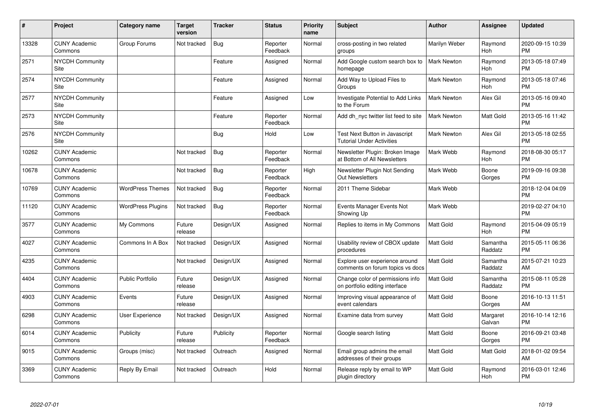| #     | Project                         | Category name            | <b>Target</b><br>version | <b>Tracker</b> | <b>Status</b>        | Priority<br>name | <b>Subject</b>                                                     | <b>Author</b>      | Assignee            | <b>Updated</b>                |
|-------|---------------------------------|--------------------------|--------------------------|----------------|----------------------|------------------|--------------------------------------------------------------------|--------------------|---------------------|-------------------------------|
| 13328 | <b>CUNY Academic</b><br>Commons | Group Forums             | Not tracked              | Bug            | Reporter<br>Feedback | Normal           | cross-posting in two related<br>groups                             | Marilyn Weber      | Raymond<br>Hoh      | 2020-09-15 10:39<br><b>PM</b> |
| 2571  | <b>NYCDH Community</b><br>Site  |                          |                          | Feature        | Assigned             | Normal           | Add Google custom search box to<br>homepage                        | Mark Newton        | Raymond<br>Hoh      | 2013-05-18 07:49<br><b>PM</b> |
| 2574  | <b>NYCDH Community</b><br>Site  |                          |                          | Feature        | Assigned             | Normal           | Add Way to Upload Files to<br>Groups                               | <b>Mark Newton</b> | Raymond<br>Hoh      | 2013-05-18 07:46<br><b>PM</b> |
| 2577  | <b>NYCDH Community</b><br>Site  |                          |                          | Feature        | Assigned             | Low              | Investigate Potential to Add Links<br>to the Forum                 | <b>Mark Newton</b> | Alex Gil            | 2013-05-16 09:40<br><b>PM</b> |
| 2573  | <b>NYCDH Community</b><br>Site  |                          |                          | Feature        | Reporter<br>Feedback | Normal           | Add dh nyc twitter list feed to site                               | Mark Newton        | Matt Gold           | 2013-05-16 11:42<br><b>PM</b> |
| 2576  | <b>NYCDH Community</b><br>Site  |                          |                          | <b>Bug</b>     | Hold                 | Low              | Test Next Button in Javascript<br><b>Tutorial Under Activities</b> | <b>Mark Newton</b> | Alex Gil            | 2013-05-18 02:55<br><b>PM</b> |
| 10262 | <b>CUNY Academic</b><br>Commons |                          | Not tracked              | Bug            | Reporter<br>Feedback | Normal           | Newsletter Plugin: Broken Image<br>at Bottom of All Newsletters    | Mark Webb          | Raymond<br>Hoh      | 2018-08-30 05:17<br><b>PM</b> |
| 10678 | <b>CUNY Academic</b><br>Commons |                          | Not tracked              | Bug            | Reporter<br>Feedback | High             | Newsletter Plugin Not Sending<br><b>Out Newsletters</b>            | Mark Webb          | Boone<br>Gorges     | 2019-09-16 09:38<br><b>PM</b> |
| 10769 | <b>CUNY Academic</b><br>Commons | <b>WordPress Themes</b>  | Not tracked              | <b>Bug</b>     | Reporter<br>Feedback | Normal           | 2011 Theme Sidebar                                                 | Mark Webb          |                     | 2018-12-04 04:09<br><b>PM</b> |
| 11120 | <b>CUNY Academic</b><br>Commons | <b>WordPress Plugins</b> | Not tracked              | <b>Bug</b>     | Reporter<br>Feedback | Normal           | Events Manager Events Not<br>Showing Up                            | Mark Webb          |                     | 2019-02-27 04:10<br><b>PM</b> |
| 3577  | <b>CUNY Academic</b><br>Commons | My Commons               | Future<br>release        | Design/UX      | Assigned             | Normal           | Replies to items in My Commons                                     | <b>Matt Gold</b>   | Raymond<br>Hoh      | 2015-04-09 05:19<br><b>PM</b> |
| 4027  | <b>CUNY Academic</b><br>Commons | Commons In A Box         | Not tracked              | Design/UX      | Assigned             | Normal           | Usability review of CBOX update<br>procedures                      | <b>Matt Gold</b>   | Samantha<br>Raddatz | 2015-05-11 06:36<br><b>PM</b> |
| 4235  | <b>CUNY Academic</b><br>Commons |                          | Not tracked              | Design/UX      | Assigned             | Normal           | Explore user experience around<br>comments on forum topics vs docs | <b>Matt Gold</b>   | Samantha<br>Raddatz | 2015-07-21 10:23<br>AM        |
| 4404  | <b>CUNY Academic</b><br>Commons | <b>Public Portfolio</b>  | Future<br>release        | Design/UX      | Assigned             | Normal           | Change color of permissions info<br>on portfolio editing interface | <b>Matt Gold</b>   | Samantha<br>Raddatz | 2015-08-11 05:28<br><b>PM</b> |
| 4903  | <b>CUNY Academic</b><br>Commons | Events                   | Future<br>release        | Design/UX      | Assigned             | Normal           | Improving visual appearance of<br>event calendars                  | <b>Matt Gold</b>   | Boone<br>Gorges     | 2016-10-13 11:51<br>AM        |
| 6298  | <b>CUNY Academic</b><br>Commons | User Experience          | Not tracked              | Design/UX      | Assigned             | Normal           | Examine data from survey                                           | <b>Matt Gold</b>   | Margaret<br>Galvan  | 2016-10-14 12:16<br><b>PM</b> |
| 6014  | <b>CUNY Academic</b><br>Commons | Publicity                | Future<br>release        | Publicity      | Reporter<br>Feedback | Normal           | Google search listing                                              | <b>Matt Gold</b>   | Boone<br>Gorges     | 2016-09-21 03:48<br><b>PM</b> |
| 9015  | <b>CUNY Academic</b><br>Commons | Groups (misc)            | Not tracked              | Outreach       | Assigned             | Normal           | Email group admins the email<br>addresses of their groups          | Matt Gold          | Matt Gold           | 2018-01-02 09:54<br>AM        |
| 3369  | <b>CUNY Academic</b><br>Commons | Reply By Email           | Not tracked              | Outreach       | Hold                 | Normal           | Release reply by email to WP<br>plugin directory                   | Matt Gold          | Raymond<br>Hoh      | 2016-03-01 12:46<br><b>PM</b> |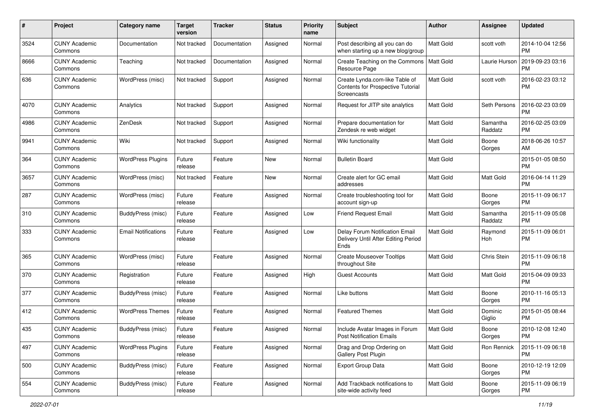| #    | Project                         | <b>Category name</b>       | <b>Target</b><br>version | <b>Tracker</b> | <b>Status</b> | Priority<br>name | <b>Subject</b>                                                                     | Author           | <b>Assignee</b>     | <b>Updated</b>                |
|------|---------------------------------|----------------------------|--------------------------|----------------|---------------|------------------|------------------------------------------------------------------------------------|------------------|---------------------|-------------------------------|
| 3524 | <b>CUNY Academic</b><br>Commons | Documentation              | Not tracked              | Documentation  | Assigned      | Normal           | Post describing all you can do<br>when starting up a new blog/group                | <b>Matt Gold</b> | scott voth          | 2014-10-04 12:56<br><b>PM</b> |
| 8666 | <b>CUNY Academic</b><br>Commons | Teaching                   | Not tracked              | Documentation  | Assigned      | Normal           | Create Teaching on the Commons<br>Resource Page                                    | <b>Matt Gold</b> | Laurie Hurson       | 2019-09-23 03:16<br><b>PM</b> |
| 636  | <b>CUNY Academic</b><br>Commons | WordPress (misc)           | Not tracked              | Support        | Assigned      | Normal           | Create Lynda.com-like Table of<br>Contents for Prospective Tutorial<br>Screencasts | Matt Gold        | scott voth          | 2016-02-23 03:12<br><b>PM</b> |
| 4070 | <b>CUNY Academic</b><br>Commons | Analytics                  | Not tracked              | Support        | Assigned      | Normal           | Request for JITP site analytics                                                    | Matt Gold        | Seth Persons        | 2016-02-23 03:09<br><b>PM</b> |
| 4986 | <b>CUNY Academic</b><br>Commons | ZenDesk                    | Not tracked              | Support        | Assigned      | Normal           | Prepare documentation for<br>Zendesk re web widget                                 | <b>Matt Gold</b> | Samantha<br>Raddatz | 2016-02-25 03:09<br><b>PM</b> |
| 9941 | <b>CUNY Academic</b><br>Commons | Wiki                       | Not tracked              | Support        | Assigned      | Normal           | Wiki functionality                                                                 | <b>Matt Gold</b> | Boone<br>Gorges     | 2018-06-26 10:57<br>AM        |
| 364  | <b>CUNY Academic</b><br>Commons | <b>WordPress Plugins</b>   | Future<br>release        | Feature        | New           | Normal           | <b>Bulletin Board</b>                                                              | Matt Gold        |                     | 2015-01-05 08:50<br><b>PM</b> |
| 3657 | <b>CUNY Academic</b><br>Commons | WordPress (misc)           | Not tracked              | Feature        | New           | Normal           | Create alert for GC email<br>addresses                                             | Matt Gold        | Matt Gold           | 2016-04-14 11:29<br><b>PM</b> |
| 287  | <b>CUNY Academic</b><br>Commons | WordPress (misc)           | Future<br>release        | Feature        | Assigned      | Normal           | Create troubleshooting tool for<br>account sign-up                                 | <b>Matt Gold</b> | Boone<br>Gorges     | 2015-11-09 06:17<br><b>PM</b> |
| 310  | CUNY Academic<br>Commons        | <b>BuddyPress (misc)</b>   | Future<br>release        | Feature        | Assigned      | Low              | <b>Friend Request Email</b>                                                        | Matt Gold        | Samantha<br>Raddatz | 2015-11-09 05:08<br><b>PM</b> |
| 333  | CUNY Academic<br>Commons        | <b>Email Notifications</b> | Future<br>release        | Feature        | Assigned      | Low              | Delay Forum Notification Email<br>Delivery Until After Editing Period<br>Ends      | <b>Matt Gold</b> | Raymond<br>Hoh      | 2015-11-09 06:01<br>PM        |
| 365  | <b>CUNY Academic</b><br>Commons | WordPress (misc)           | Future<br>release        | Feature        | Assigned      | Normal           | <b>Create Mouseover Tooltips</b><br>throughout Site                                | Matt Gold        | Chris Stein         | 2015-11-09 06:18<br><b>PM</b> |
| 370  | CUNY Academic<br>Commons        | Registration               | Future<br>release        | Feature        | Assigned      | High             | <b>Guest Accounts</b>                                                              | Matt Gold        | Matt Gold           | 2015-04-09 09:33<br><b>PM</b> |
| 377  | <b>CUNY Academic</b><br>Commons | BuddyPress (misc)          | Future<br>release        | Feature        | Assigned      | Normal           | Like buttons                                                                       | Matt Gold        | Boone<br>Gorges     | 2010-11-16 05:13<br><b>PM</b> |
| 412  | <b>CUNY Academic</b><br>Commons | <b>WordPress Themes</b>    | Future<br>release        | Feature        | Assigned      | Normal           | <b>Featured Themes</b>                                                             | Matt Gold        | Dominic<br>Giglio   | 2015-01-05 08:44<br><b>PM</b> |
| 435  | <b>CUNY Academic</b><br>Commons | BuddyPress (misc)          | Future<br>release        | Feature        | Assigned      | Normal           | Include Avatar Images in Forum<br><b>Post Notification Emails</b>                  | Matt Gold        | Boone<br>Gorges     | 2010-12-08 12:40<br>PM        |
| 497  | <b>CUNY Academic</b><br>Commons | <b>WordPress Plugins</b>   | Future<br>release        | Feature        | Assigned      | Normal           | Drag and Drop Ordering on<br>Gallery Post Plugin                                   | Matt Gold        | Ron Rennick         | 2015-11-09 06:18<br><b>PM</b> |
| 500  | <b>CUNY Academic</b><br>Commons | BuddyPress (misc)          | Future<br>release        | Feature        | Assigned      | Normal           | Export Group Data                                                                  | Matt Gold        | Boone<br>Gorges     | 2010-12-19 12:09<br><b>PM</b> |
| 554  | <b>CUNY Academic</b><br>Commons | BuddyPress (misc)          | Future<br>release        | Feature        | Assigned      | Normal           | Add Trackback notifications to<br>site-wide activity feed                          | Matt Gold        | Boone<br>Gorges     | 2015-11-09 06:19<br><b>PM</b> |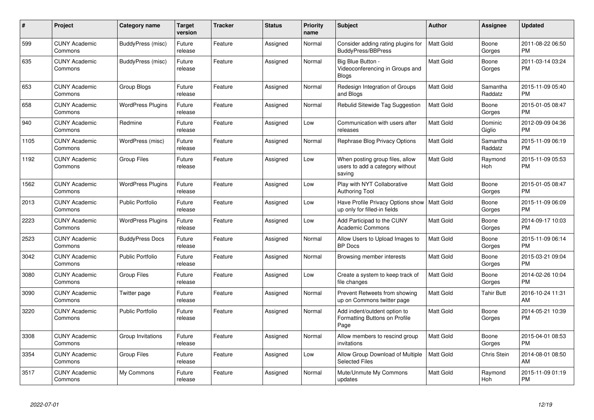| #    | Project                         | <b>Category name</b>     | <b>Target</b><br>version | <b>Tracker</b> | <b>Status</b> | <b>Priority</b><br>name | <b>Subject</b>                                                                | Author           | Assignee            | <b>Updated</b>                |
|------|---------------------------------|--------------------------|--------------------------|----------------|---------------|-------------------------|-------------------------------------------------------------------------------|------------------|---------------------|-------------------------------|
| 599  | <b>CUNY Academic</b><br>Commons | <b>BuddyPress (misc)</b> | Future<br>release        | Feature        | Assigned      | Normal                  | Consider adding rating plugins for<br><b>BuddyPress/BBPress</b>               | <b>Matt Gold</b> | Boone<br>Gorges     | 2011-08-22 06:50<br><b>PM</b> |
| 635  | <b>CUNY Academic</b><br>Commons | BuddyPress (misc)        | Future<br>release        | Feature        | Assigned      | Normal                  | Big Blue Button -<br>Videoconferencing in Groups and<br><b>Blogs</b>          | <b>Matt Gold</b> | Boone<br>Gorges     | 2011-03-14 03:24<br>PM        |
| 653  | <b>CUNY Academic</b><br>Commons | Group Blogs              | Future<br>release        | Feature        | Assigned      | Normal                  | Redesign Integration of Groups<br>and Blogs                                   | Matt Gold        | Samantha<br>Raddatz | 2015-11-09 05:40<br>PM.       |
| 658  | <b>CUNY Academic</b><br>Commons | <b>WordPress Plugins</b> | Future<br>release        | Feature        | Assigned      | Normal                  | Rebulid Sitewide Tag Suggestion                                               | <b>Matt Gold</b> | Boone<br>Gorges     | 2015-01-05 08:47<br><b>PM</b> |
| 940  | <b>CUNY Academic</b><br>Commons | Redmine                  | Future<br>release        | Feature        | Assigned      | Low                     | Communication with users after<br>releases                                    | Matt Gold        | Dominic<br>Giglio   | 2012-09-09 04:36<br><b>PM</b> |
| 1105 | <b>CUNY Academic</b><br>Commons | WordPress (misc)         | Future<br>release        | Feature        | Assigned      | Normal                  | Rephrase Blog Privacy Options                                                 | <b>Matt Gold</b> | Samantha<br>Raddatz | 2015-11-09 06:19<br><b>PM</b> |
| 1192 | <b>CUNY Academic</b><br>Commons | <b>Group Files</b>       | Future<br>release        | Feature        | Assigned      | Low                     | When posting group files, allow<br>users to add a category without<br>saving  | Matt Gold        | Raymond<br>Hoh      | 2015-11-09 05:53<br>PM        |
| 1562 | <b>CUNY Academic</b><br>Commons | <b>WordPress Plugins</b> | Future<br>release        | Feature        | Assigned      | Low                     | Play with NYT Collaborative<br>Authoring Tool                                 | Matt Gold        | Boone<br>Gorges     | 2015-01-05 08:47<br>PM.       |
| 2013 | <b>CUNY Academic</b><br>Commons | Public Portfolio         | Future<br>release        | Feature        | Assigned      | Low                     | Have Profile Privacy Options show   Matt Gold<br>up only for filled-in fields |                  | Boone<br>Gorges     | 2015-11-09 06:09<br><b>PM</b> |
| 2223 | <b>CUNY Academic</b><br>Commons | <b>WordPress Plugins</b> | Future<br>release        | Feature        | Assigned      | Low                     | Add Participad to the CUNY<br><b>Academic Commons</b>                         | <b>Matt Gold</b> | Boone<br>Gorges     | 2014-09-17 10:03<br><b>PM</b> |
| 2523 | <b>CUNY Academic</b><br>Commons | <b>BuddyPress Docs</b>   | Future<br>release        | Feature        | Assigned      | Normal                  | Allow Users to Upload Images to<br><b>BP</b> Docs                             | <b>Matt Gold</b> | Boone<br>Gorges     | 2015-11-09 06:14<br><b>PM</b> |
| 3042 | <b>CUNY Academic</b><br>Commons | <b>Public Portfolio</b>  | Future<br>release        | Feature        | Assigned      | Normal                  | Browsing member interests                                                     | <b>Matt Gold</b> | Boone<br>Gorges     | 2015-03-21 09:04<br>PM        |
| 3080 | <b>CUNY Academic</b><br>Commons | <b>Group Files</b>       | Future<br>release        | Feature        | Assigned      | Low                     | Create a system to keep track of<br>file changes                              | Matt Gold        | Boone<br>Gorges     | 2014-02-26 10:04<br><b>PM</b> |
| 3090 | <b>CUNY Academic</b><br>Commons | Twitter page             | Future<br>release        | Feature        | Assigned      | Normal                  | Prevent Retweets from showing<br>up on Commons twitter page                   | Matt Gold        | Tahir Butt          | 2016-10-24 11:31<br>AM        |
| 3220 | <b>CUNY Academic</b><br>Commons | <b>Public Portfolio</b>  | Future<br>release        | Feature        | Assigned      | Normal                  | Add indent/outdent option to<br>Formatting Buttons on Profile<br>Page         | Matt Gold        | Boone<br>Gorges     | 2014-05-21 10:39<br>PM.       |
| 3308 | <b>CUNY Academic</b><br>Commons | Group Invitations        | Future<br>release        | Feature        | Assigned      | Normal                  | Allow members to rescind group<br>invitations                                 | <b>Matt Gold</b> | Boone<br>Gorges     | 2015-04-01 08:53<br><b>PM</b> |
| 3354 | <b>CUNY Academic</b><br>Commons | <b>Group Files</b>       | Future<br>release        | Feature        | Assigned      | Low                     | Allow Group Download of Multiple<br><b>Selected Files</b>                     | <b>Matt Gold</b> | Chris Stein         | 2014-08-01 08:50<br>AM        |
| 3517 | <b>CUNY Academic</b><br>Commons | My Commons               | Future<br>release        | Feature        | Assigned      | Normal                  | Mute/Unmute My Commons<br>updates                                             | Matt Gold        | Raymond<br>Hoh      | 2015-11-09 01:19<br>PM        |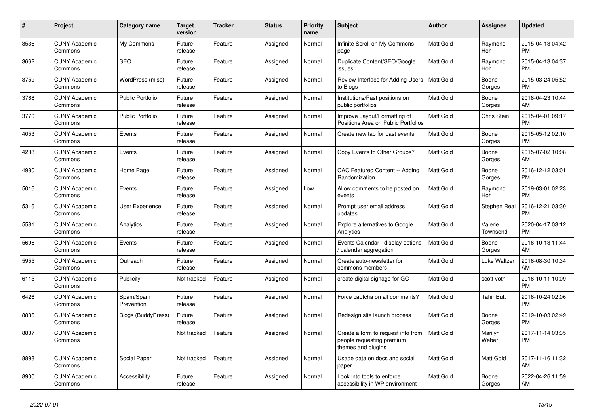| #    | <b>Project</b>                  | Category name           | <b>Target</b><br>version | <b>Tracker</b> | <b>Status</b> | <b>Priority</b><br>name | <b>Subject</b>                                                                        | <b>Author</b>    | Assignee            | <b>Updated</b>                |
|------|---------------------------------|-------------------------|--------------------------|----------------|---------------|-------------------------|---------------------------------------------------------------------------------------|------------------|---------------------|-------------------------------|
| 3536 | <b>CUNY Academic</b><br>Commons | My Commons              | Future<br>release        | Feature        | Assigned      | Normal                  | Infinite Scroll on My Commons<br>page                                                 | <b>Matt Gold</b> | Raymond<br>Hoh      | 2015-04-13 04:42<br><b>PM</b> |
| 3662 | <b>CUNY Academic</b><br>Commons | <b>SEO</b>              | Future<br>release        | Feature        | Assigned      | Normal                  | Duplicate Content/SEO/Google<br>issues                                                | <b>Matt Gold</b> | Raymond<br>Hoh      | 2015-04-13 04:37<br><b>PM</b> |
| 3759 | <b>CUNY Academic</b><br>Commons | WordPress (misc)        | Future<br>release        | Feature        | Assigned      | Normal                  | Review Interface for Adding Users<br>to Blogs                                         | <b>Matt Gold</b> | Boone<br>Gorges     | 2015-03-24 05:52<br><b>PM</b> |
| 3768 | <b>CUNY Academic</b><br>Commons | <b>Public Portfolio</b> | Future<br>release        | Feature        | Assigned      | Normal                  | Institutions/Past positions on<br>public portfolios                                   | <b>Matt Gold</b> | Boone<br>Gorges     | 2018-04-23 10:44<br>AM        |
| 3770 | <b>CUNY Academic</b><br>Commons | <b>Public Portfolio</b> | Future<br>release        | Feature        | Assigned      | Normal                  | Improve Layout/Formatting of<br>Positions Area on Public Portfolios                   | <b>Matt Gold</b> | <b>Chris Stein</b>  | 2015-04-01 09:17<br><b>PM</b> |
| 4053 | <b>CUNY Academic</b><br>Commons | Events                  | Future<br>release        | Feature        | Assigned      | Normal                  | Create new tab for past events                                                        | Matt Gold        | Boone<br>Gorges     | 2015-05-12 02:10<br><b>PM</b> |
| 4238 | <b>CUNY Academic</b><br>Commons | Events                  | Future<br>release        | Feature        | Assigned      | Normal                  | Copy Events to Other Groups?                                                          | <b>Matt Gold</b> | Boone<br>Gorges     | 2015-07-02 10:08<br>AM        |
| 4980 | <b>CUNY Academic</b><br>Commons | Home Page               | Future<br>release        | Feature        | Assigned      | Normal                  | CAC Featured Content -- Adding<br>Randomization                                       | <b>Matt Gold</b> | Boone<br>Gorges     | 2016-12-12 03:01<br><b>PM</b> |
| 5016 | <b>CUNY Academic</b><br>Commons | Events                  | Future<br>release        | Feature        | Assigned      | Low                     | Allow comments to be posted on<br>events                                              | <b>Matt Gold</b> | Raymond<br>Hoh      | 2019-03-01 02:23<br><b>PM</b> |
| 5316 | <b>CUNY Academic</b><br>Commons | <b>User Experience</b>  | Future<br>release        | Feature        | Assigned      | Normal                  | Prompt user email address<br>updates                                                  | Matt Gold        | Stephen Real        | 2016-12-21 03:30<br><b>PM</b> |
| 5581 | <b>CUNY Academic</b><br>Commons | Analytics               | Future<br>release        | Feature        | Assigned      | Normal                  | <b>Explore alternatives to Google</b><br>Analytics                                    | Matt Gold        | Valerie<br>Townsend | 2020-04-17 03:12<br><b>PM</b> |
| 5696 | <b>CUNY Academic</b><br>Commons | Events                  | Future<br>release        | Feature        | Assigned      | Normal                  | Events Calendar - display options<br>/ calendar aggregation                           | <b>Matt Gold</b> | Boone<br>Gorges     | 2016-10-13 11:44<br>AM        |
| 5955 | <b>CUNY Academic</b><br>Commons | Outreach                | Future<br>release        | Feature        | Assigned      | Normal                  | Create auto-newsletter for<br>commons members                                         | Matt Gold        | Luke Waltzer        | 2016-08-30 10:34<br>AM        |
| 6115 | <b>CUNY Academic</b><br>Commons | Publicity               | Not tracked              | Feature        | Assigned      | Normal                  | create digital signage for GC                                                         | <b>Matt Gold</b> | scott voth          | 2016-10-11 10:09<br><b>PM</b> |
| 6426 | <b>CUNY Academic</b><br>Commons | Spam/Spam<br>Prevention | Future<br>release        | Feature        | Assigned      | Normal                  | Force captcha on all comments?                                                        | <b>Matt Gold</b> | Tahir Butt          | 2016-10-24 02:06<br><b>PM</b> |
| 8836 | <b>CUNY Academic</b><br>Commons | Blogs (BuddyPress)      | Future<br>release        | Feature        | Assigned      | Normal                  | Redesign site launch process                                                          | Matt Gold        | Boone<br>Gorges     | 2019-10-03 02:49<br><b>PM</b> |
| 8837 | <b>CUNY Academic</b><br>Commons |                         | Not tracked              | Feature        | Assigned      | Normal                  | Create a form to request info from<br>people requesting premium<br>themes and plugins | <b>Matt Gold</b> | Marilyn<br>Weber    | 2017-11-14 03:35<br><b>PM</b> |
| 8898 | <b>CUNY Academic</b><br>Commons | Social Paper            | Not tracked              | Feature        | Assigned      | Normal                  | Usage data on docs and social<br>paper                                                | <b>Matt Gold</b> | Matt Gold           | 2017-11-16 11:32<br>AM        |
| 8900 | <b>CUNY Academic</b><br>Commons | Accessibility           | Future<br>release        | Feature        | Assigned      | Normal                  | Look into tools to enforce<br>accessibility in WP environment                         | <b>Matt Gold</b> | Boone<br>Gorges     | 2022-04-26 11:59<br>AM        |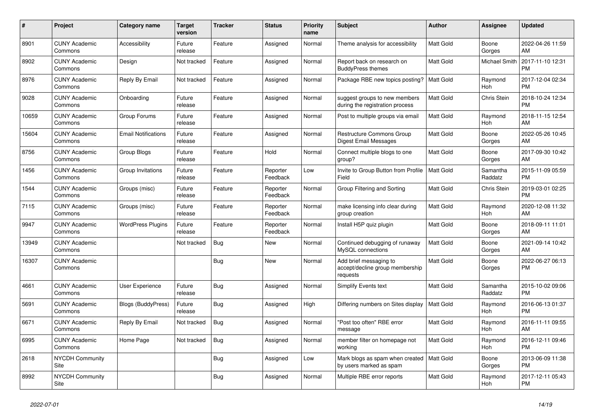| #     | <b>Project</b>                  | Category name              | <b>Target</b><br>version | <b>Tracker</b> | <b>Status</b>        | <b>Priority</b><br>name | <b>Subject</b>                                                         | <b>Author</b>    | Assignee            | <b>Updated</b>                |
|-------|---------------------------------|----------------------------|--------------------------|----------------|----------------------|-------------------------|------------------------------------------------------------------------|------------------|---------------------|-------------------------------|
| 8901  | <b>CUNY Academic</b><br>Commons | Accessibility              | Future<br>release        | Feature        | Assigned             | Normal                  | Theme analysis for accessibility                                       | <b>Matt Gold</b> | Boone<br>Gorges     | 2022-04-26 11:59<br>AM        |
| 8902  | <b>CUNY Academic</b><br>Commons | Design                     | Not tracked              | Feature        | Assigned             | Normal                  | Report back on research on<br><b>BuddyPress themes</b>                 | <b>Matt Gold</b> | Michael Smith       | 2017-11-10 12:31<br><b>PM</b> |
| 8976  | <b>CUNY Academic</b><br>Commons | Reply By Email             | Not tracked              | Feature        | Assigned             | Normal                  | Package RBE new topics posting?                                        | <b>Matt Gold</b> | Raymond<br>Hoh      | 2017-12-04 02:34<br><b>PM</b> |
| 9028  | <b>CUNY Academic</b><br>Commons | Onboarding                 | Future<br>release        | Feature        | Assigned             | Normal                  | suggest groups to new members<br>during the registration process       | <b>Matt Gold</b> | Chris Stein         | 2018-10-24 12:34<br><b>PM</b> |
| 10659 | <b>CUNY Academic</b><br>Commons | Group Forums               | Future<br>release        | Feature        | Assigned             | Normal                  | Post to multiple groups via email                                      | Matt Gold        | Raymond<br>Hoh      | 2018-11-15 12:54<br>AM        |
| 15604 | <b>CUNY Academic</b><br>Commons | <b>Email Notifications</b> | Future<br>release        | Feature        | Assigned             | Normal                  | <b>Restructure Commons Group</b><br>Digest Email Messages              | Matt Gold        | Boone<br>Gorges     | 2022-05-26 10:45<br>AM        |
| 8756  | <b>CUNY Academic</b><br>Commons | Group Blogs                | Future<br>release        | Feature        | Hold                 | Normal                  | Connect multiple blogs to one<br>group?                                | <b>Matt Gold</b> | Boone<br>Gorges     | 2017-09-30 10:42<br>AM        |
| 1456  | <b>CUNY Academic</b><br>Commons | Group Invitations          | Future<br>release        | Feature        | Reporter<br>Feedback | Low                     | Invite to Group Button from Profile<br>Field                           | l Matt Gold      | Samantha<br>Raddatz | 2015-11-09 05:59<br><b>PM</b> |
| 1544  | <b>CUNY Academic</b><br>Commons | Groups (misc)              | Future<br>release        | Feature        | Reporter<br>Feedback | Normal                  | Group Filtering and Sorting                                            | <b>Matt Gold</b> | Chris Stein         | 2019-03-01 02:25<br><b>PM</b> |
| 7115  | <b>CUNY Academic</b><br>Commons | Groups (misc)              | Future<br>release        | Feature        | Reporter<br>Feedback | Normal                  | make licensing info clear during<br>group creation                     | <b>Matt Gold</b> | Raymond<br>Hoh      | 2020-12-08 11:32<br>AM        |
| 9947  | <b>CUNY Academic</b><br>Commons | <b>WordPress Plugins</b>   | Future<br>release        | Feature        | Reporter<br>Feedback | Normal                  | Install H5P quiz plugin                                                | <b>Matt Gold</b> | Boone<br>Gorges     | 2018-09-11 11:01<br>AM        |
| 13949 | <b>CUNY Academic</b><br>Commons |                            | Not tracked              | Bug            | New                  | Normal                  | Continued debugging of runaway<br>MySQL connections                    | <b>Matt Gold</b> | Boone<br>Gorges     | 2021-09-14 10:42<br>AM        |
| 16307 | <b>CUNY Academic</b><br>Commons |                            |                          | <b>Bug</b>     | New                  | Normal                  | Add brief messaging to<br>accept/decline group membership<br>requests  | <b>Matt Gold</b> | Boone<br>Gorges     | 2022-06-27 06:13<br><b>PM</b> |
| 4661  | <b>CUNY Academic</b><br>Commons | User Experience            | Future<br>release        | Bug            | Assigned             | Normal                  | Simplify Events text                                                   | <b>Matt Gold</b> | Samantha<br>Raddatz | 2015-10-02 09:06<br><b>PM</b> |
| 5691  | <b>CUNY Academic</b><br>Commons | <b>Blogs (BuddyPress)</b>  | Future<br>release        | <b>Bug</b>     | Assigned             | High                    | Differing numbers on Sites display                                     | <b>Matt Gold</b> | Raymond<br>Hoh      | 2016-06-13 01:37<br><b>PM</b> |
| 6671  | <b>CUNY Academic</b><br>Commons | Reply By Email             | Not tracked              | Bug            | Assigned             | Normal                  | "Post too often" RBE error<br>message                                  | <b>Matt Gold</b> | Raymond<br>Hoh      | 2016-11-11 09:55<br>AM        |
| 6995  | <b>CUNY Academic</b><br>Commons | Home Page                  | Not tracked              | Bug            | Assigned             | Normal                  | member filter on homepage not<br>working                               | <b>Matt Gold</b> | Raymond<br>Hoh      | 2016-12-11 09:46<br><b>PM</b> |
| 2618  | <b>NYCDH Community</b><br>Site  |                            |                          | <b>Bug</b>     | Assigned             | Low                     | Mark blogs as spam when created   Matt Gold<br>by users marked as spam |                  | Boone<br>Gorges     | 2013-06-09 11:38<br><b>PM</b> |
| 8992  | <b>NYCDH Community</b><br>Site  |                            |                          | <b>Bug</b>     | Assigned             | Normal                  | Multiple RBE error reports                                             | Matt Gold        | Raymond<br>Hoh      | 2017-12-11 05:43<br><b>PM</b> |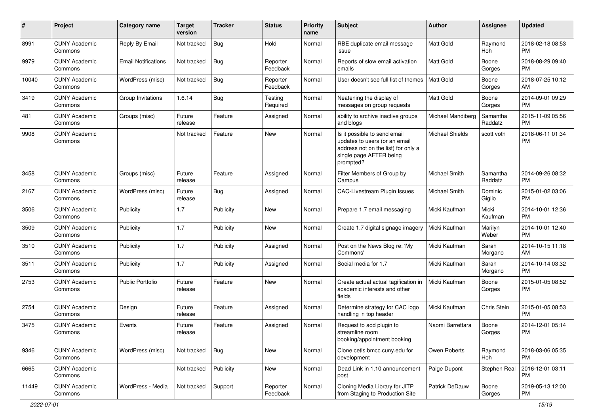| $\#$  | Project                         | Category name              | <b>Target</b><br>version | <b>Tracker</b> | <b>Status</b>        | <b>Priority</b><br>name | Subject                                                                                                                                      | Author                 | Assignee            | <b>Updated</b>                |
|-------|---------------------------------|----------------------------|--------------------------|----------------|----------------------|-------------------------|----------------------------------------------------------------------------------------------------------------------------------------------|------------------------|---------------------|-------------------------------|
| 8991  | <b>CUNY Academic</b><br>Commons | Reply By Email             | Not tracked              | Bug            | Hold                 | Normal                  | RBE duplicate email message<br>issue                                                                                                         | <b>Matt Gold</b>       | Raymond<br>Hoh      | 2018-02-18 08:53<br>PM.       |
| 9979  | <b>CUNY Academic</b><br>Commons | <b>Email Notifications</b> | Not tracked              | Bug            | Reporter<br>Feedback | Normal                  | Reports of slow email activation<br>emails                                                                                                   | <b>Matt Gold</b>       | Boone<br>Gorges     | 2018-08-29 09:40<br><b>PM</b> |
| 10040 | <b>CUNY Academic</b><br>Commons | WordPress (misc)           | Not tracked              | Bug            | Reporter<br>Feedback | Normal                  | User doesn't see full list of themes                                                                                                         | <b>Matt Gold</b>       | Boone<br>Gorges     | 2018-07-25 10:12<br>AM.       |
| 3419  | <b>CUNY Academic</b><br>Commons | Group Invitations          | 1.6.14                   | Bug            | Testing<br>Required  | Normal                  | Neatening the display of<br>messages on group requests                                                                                       | <b>Matt Gold</b>       | Boone<br>Gorges     | 2014-09-01 09:29<br><b>PM</b> |
| 481   | <b>CUNY Academic</b><br>Commons | Groups (misc)              | Future<br>release        | Feature        | Assigned             | Normal                  | ability to archive inactive groups<br>and blogs                                                                                              | Michael Mandiberg      | Samantha<br>Raddatz | 2015-11-09 05:56<br><b>PM</b> |
| 9908  | <b>CUNY Academic</b><br>Commons |                            | Not tracked              | Feature        | New                  | Normal                  | Is it possible to send email<br>updates to users (or an email<br>address not on the list) for only a<br>single page AFTER being<br>prompted? | <b>Michael Shields</b> | scott voth          | 2018-06-11 01:34<br><b>PM</b> |
| 3458  | <b>CUNY Academic</b><br>Commons | Groups (misc)              | Future<br>release        | Feature        | Assigned             | Normal                  | Filter Members of Group by<br>Campus                                                                                                         | Michael Smith          | Samantha<br>Raddatz | 2014-09-26 08:32<br><b>PM</b> |
| 2167  | <b>CUNY Academic</b><br>Commons | WordPress (misc)           | Future<br>release        | Bug            | Assigned             | Normal                  | <b>CAC-Livestream Plugin Issues</b>                                                                                                          | Michael Smith          | Dominic<br>Giglio   | 2015-01-02 03:06<br><b>PM</b> |
| 3506  | <b>CUNY Academic</b><br>Commons | Publicity                  | 1.7                      | Publicity      | New                  | Normal                  | Prepare 1.7 email messaging                                                                                                                  | Micki Kaufman          | Micki<br>Kaufman    | 2014-10-01 12:36<br><b>PM</b> |
| 3509  | <b>CUNY Academic</b><br>Commons | Publicity                  | 1.7                      | Publicity      | <b>New</b>           | Normal                  | Create 1.7 digital signage imagery                                                                                                           | Micki Kaufman          | Marilyn<br>Weber    | 2014-10-01 12:40<br><b>PM</b> |
| 3510  | <b>CUNY Academic</b><br>Commons | Publicity                  | 1.7                      | Publicity      | Assigned             | Normal                  | Post on the News Blog re: 'My<br>Commons'                                                                                                    | Micki Kaufman          | Sarah<br>Morgano    | 2014-10-15 11:18<br>AM.       |
| 3511  | <b>CUNY Academic</b><br>Commons | Publicity                  | 1.7                      | Publicity      | Assigned             | Normal                  | Social media for 1.7                                                                                                                         | Micki Kaufman          | Sarah<br>Morgano    | 2014-10-14 03:32<br><b>PM</b> |
| 2753  | <b>CUNY Academic</b><br>Commons | <b>Public Portfolio</b>    | Future<br>release        | Feature        | <b>New</b>           | Normal                  | Create actual actual tagification in<br>academic interests and other<br>fields                                                               | Micki Kaufman          | Boone<br>Gorges     | 2015-01-05 08:52<br><b>PM</b> |
| 2754  | <b>CUNY Academic</b><br>Commons | Design                     | Future<br>release        | Feature        | Assigned             | Normal                  | Determine strategy for CAC logo<br>handling in top header                                                                                    | Micki Kaufman          | Chris Stein         | 2015-01-05 08:53<br><b>PM</b> |
| 3475  | <b>CUNY Academic</b><br>Commons | Events                     | Future<br>release        | Feature        | Assigned             | Normal                  | Request to add plugin to<br>streamline room<br>booking/appointment booking                                                                   | Naomi Barrettara       | Boone<br>Gorges     | 2014-12-01 05:14<br><b>PM</b> |
| 9346  | <b>CUNY Academic</b><br>Commons | WordPress (misc)           | Not tracked              | <b>Bug</b>     | New                  | Normal                  | Clone cetls.bmcc.cuny.edu for<br>development                                                                                                 | Owen Roberts           | Raymond<br>Hoh      | 2018-03-06 05:35<br><b>PM</b> |
| 6665  | <b>CUNY Academic</b><br>Commons |                            | Not tracked              | Publicity      | New                  | Normal                  | Dead Link in 1.10 announcement<br>post                                                                                                       | Paige Dupont           | Stephen Real        | 2016-12-01 03:11<br><b>PM</b> |
| 11449 | <b>CUNY Academic</b><br>Commons | WordPress - Media          | Not tracked              | Support        | Reporter<br>Feedback | Normal                  | Cloning Media Library for JITP<br>from Staging to Production Site                                                                            | Patrick DeDauw         | Boone<br>Gorges     | 2019-05-13 12:00<br>PM        |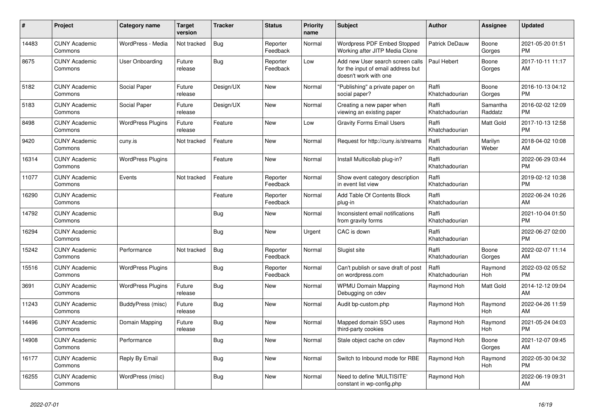| #     | Project                         | <b>Category name</b>     | <b>Target</b><br>version | <b>Tracker</b> | <b>Status</b>        | <b>Priority</b><br>name | <b>Subject</b>                                                                                  | <b>Author</b>           | Assignee            | <b>Updated</b>                |
|-------|---------------------------------|--------------------------|--------------------------|----------------|----------------------|-------------------------|-------------------------------------------------------------------------------------------------|-------------------------|---------------------|-------------------------------|
| 14483 | <b>CUNY Academic</b><br>Commons | WordPress - Media        | Not tracked              | Bug            | Reporter<br>Feedback | Normal                  | Wordpress PDF Embed Stopped<br>Working after JITP Media Clone                                   | Patrick DeDauw          | Boone<br>Gorges     | 2021-05-20 01:51<br><b>PM</b> |
| 8675  | <b>CUNY Academic</b><br>Commons | <b>User Onboarding</b>   | Future<br>release        | Bug            | Reporter<br>Feedback | Low                     | Add new User search screen calls<br>for the input of email address but<br>doesn't work with one | Paul Hebert             | Boone<br>Gorges     | 2017-10-11 11:17<br>AM        |
| 5182  | <b>CUNY Academic</b><br>Commons | Social Paper             | Future<br>release        | Design/UX      | <b>New</b>           | Normal                  | "Publishing" a private paper on<br>social paper?                                                | Raffi<br>Khatchadourian | Boone<br>Gorges     | 2016-10-13 04:12<br><b>PM</b> |
| 5183  | <b>CUNY Academic</b><br>Commons | Social Paper             | Future<br>release        | Design/UX      | <b>New</b>           | Normal                  | Creating a new paper when<br>viewing an existing paper                                          | Raffi<br>Khatchadourian | Samantha<br>Raddatz | 2016-02-02 12:09<br><b>PM</b> |
| 8498  | <b>CUNY Academic</b><br>Commons | <b>WordPress Plugins</b> | Future<br>release        | Feature        | New                  | Low                     | <b>Gravity Forms Email Users</b>                                                                | Raffi<br>Khatchadourian | Matt Gold           | 2017-10-13 12:58<br><b>PM</b> |
| 9420  | <b>CUNY Academic</b><br>Commons | cuny.is                  | Not tracked              | Feature        | New                  | Normal                  | Request for http://cuny.is/streams                                                              | Raffi<br>Khatchadourian | Marilyn<br>Weber    | 2018-04-02 10:08<br>AM        |
| 16314 | <b>CUNY Academic</b><br>Commons | <b>WordPress Plugins</b> |                          | Feature        | <b>New</b>           | Normal                  | Install Multicollab plug-in?                                                                    | Raffi<br>Khatchadourian |                     | 2022-06-29 03:44<br><b>PM</b> |
| 11077 | <b>CUNY Academic</b><br>Commons | Events                   | Not tracked              | Feature        | Reporter<br>Feedback | Normal                  | Show event category description<br>in event list view                                           | Raffi<br>Khatchadourian |                     | 2019-02-12 10:38<br><b>PM</b> |
| 16290 | <b>CUNY Academic</b><br>Commons |                          |                          | Feature        | Reporter<br>Feedback | Normal                  | Add Table Of Contents Block<br>plug-in                                                          | Raffi<br>Khatchadourian |                     | 2022-06-24 10:26<br>AM        |
| 14792 | <b>CUNY Academic</b><br>Commons |                          |                          | Bug            | <b>New</b>           | Normal                  | Inconsistent email notifications<br>from gravity forms                                          | Raffi<br>Khatchadourian |                     | 2021-10-04 01:50<br><b>PM</b> |
| 16294 | <b>CUNY Academic</b><br>Commons |                          |                          | Bug            | New                  | Urgent                  | CAC is down                                                                                     | Raffi<br>Khatchadourian |                     | 2022-06-27 02:00<br><b>PM</b> |
| 15242 | <b>CUNY Academic</b><br>Commons | Performance              | Not tracked              | <b>Bug</b>     | Reporter<br>Feedback | Normal                  | Slugist site                                                                                    | Raffi<br>Khatchadourian | Boone<br>Gorges     | 2022-02-07 11:14<br>AM        |
| 15516 | <b>CUNY Academic</b><br>Commons | <b>WordPress Plugins</b> |                          | Bug            | Reporter<br>Feedback | Normal                  | Can't publish or save draft of post<br>on wordpress.com                                         | Raffi<br>Khatchadourian | Raymond<br>Hoh      | 2022-03-02 05:52<br><b>PM</b> |
| 3691  | <b>CUNY Academic</b><br>Commons | <b>WordPress Plugins</b> | Future<br>release        | Bug            | New                  | Normal                  | <b>WPMU Domain Mapping</b><br>Debugging on cdev                                                 | Raymond Hoh             | Matt Gold           | 2014-12-12 09:04<br>AM        |
| 11243 | <b>CUNY Academic</b><br>Commons | BuddyPress (misc)        | Future<br>release        | <b>Bug</b>     | <b>New</b>           | Normal                  | Audit bp-custom.php                                                                             | Raymond Hoh             | Raymond<br>Hoh      | 2022-04-26 11:59<br>AM        |
| 14496 | <b>CUNY Academic</b><br>Commons | Domain Mapping           | Future<br>release        | Bug            | <b>New</b>           | Normal                  | Mapped domain SSO uses<br>third-party cookies                                                   | Raymond Hoh             | Raymond<br>Hoh      | 2021-05-24 04:03<br><b>PM</b> |
| 14908 | <b>CUNY Academic</b><br>Commons | Performance              |                          | Bug            | <b>New</b>           | Normal                  | Stale object cache on cdev                                                                      | Raymond Hoh             | Boone<br>Gorges     | 2021-12-07 09:45<br>AM        |
| 16177 | <b>CUNY Academic</b><br>Commons | Reply By Email           |                          | Bug            | New                  | Normal                  | Switch to Inbound mode for RBE                                                                  | Raymond Hoh             | Raymond<br>Hoh      | 2022-05-30 04:32<br><b>PM</b> |
| 16255 | <b>CUNY Academic</b><br>Commons | WordPress (misc)         |                          | Bug            | <b>New</b>           | Normal                  | Need to define 'MULTISITE'<br>constant in wp-config.php                                         | Raymond Hoh             |                     | 2022-06-19 09:31<br>AM        |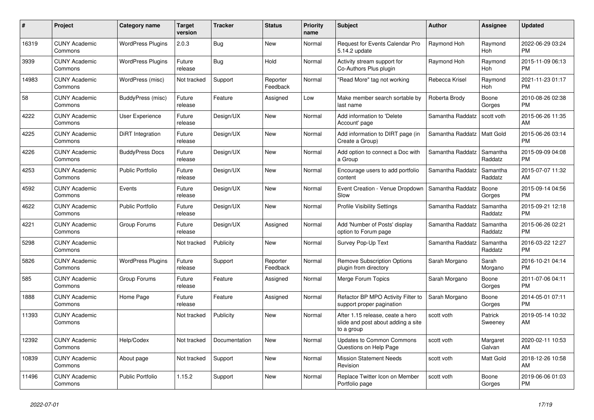| $\#$  | Project                         | <b>Category name</b>     | <b>Target</b><br>version | <b>Tracker</b> | <b>Status</b>        | <b>Priority</b><br>name | <b>Subject</b>                                                                       | <b>Author</b>    | Assignee            | <b>Updated</b>                |
|-------|---------------------------------|--------------------------|--------------------------|----------------|----------------------|-------------------------|--------------------------------------------------------------------------------------|------------------|---------------------|-------------------------------|
| 16319 | <b>CUNY Academic</b><br>Commons | <b>WordPress Plugins</b> | 2.0.3                    | Bug            | <b>New</b>           | Normal                  | Request for Events Calendar Pro<br>5.14.2 update                                     | Raymond Hoh      | Raymond<br>Hoh      | 2022-06-29 03:24<br><b>PM</b> |
| 3939  | <b>CUNY Academic</b><br>Commons | <b>WordPress Plugins</b> | Future<br>release        | Bug            | Hold                 | Normal                  | Activity stream support for<br>Co-Authors Plus plugin                                | Raymond Hoh      | Raymond<br>Hoh      | 2015-11-09 06:13<br><b>PM</b> |
| 14983 | <b>CUNY Academic</b><br>Commons | WordPress (misc)         | Not tracked              | Support        | Reporter<br>Feedback | Normal                  | "Read More" tag not working                                                          | Rebecca Krisel   | Raymond<br>Hoh      | 2021-11-23 01:17<br><b>PM</b> |
| 58    | <b>CUNY Academic</b><br>Commons | BuddyPress (misc)        | Future<br>release        | Feature        | Assigned             | Low                     | Make member search sortable by<br>last name                                          | Roberta Brody    | Boone<br>Gorges     | 2010-08-26 02:38<br><b>PM</b> |
| 4222  | <b>CUNY Academic</b><br>Commons | <b>User Experience</b>   | Future<br>release        | Design/UX      | New                  | Normal                  | Add information to 'Delete<br>Account' page                                          | Samantha Raddatz | scott voth          | 2015-06-26 11:35<br>AM        |
| 4225  | <b>CUNY Academic</b><br>Commons | DiRT Integration         | Future<br>release        | Design/UX      | New                  | Normal                  | Add information to DIRT page (in<br>Create a Group)                                  | Samantha Raddatz | Matt Gold           | 2015-06-26 03:14<br><b>PM</b> |
| 4226  | <b>CUNY Academic</b><br>Commons | <b>BuddyPress Docs</b>   | Future<br>release        | Design/UX      | <b>New</b>           | Normal                  | Add option to connect a Doc with<br>a Group                                          | Samantha Raddatz | Samantha<br>Raddatz | 2015-09-09 04:08<br><b>PM</b> |
| 4253  | <b>CUNY Academic</b><br>Commons | <b>Public Portfolio</b>  | Future<br>release        | Design/UX      | <b>New</b>           | Normal                  | Encourage users to add portfolio<br>content                                          | Samantha Raddatz | Samantha<br>Raddatz | 2015-07-07 11:32<br>AM        |
| 4592  | <b>CUNY Academic</b><br>Commons | Events                   | Future<br>release        | Design/UX      | New                  | Normal                  | Event Creation - Venue Dropdown<br>Slow                                              | Samantha Raddatz | Boone<br>Gorges     | 2015-09-14 04:56<br><b>PM</b> |
| 4622  | <b>CUNY Academic</b><br>Commons | <b>Public Portfolio</b>  | Future<br>release        | Design/UX      | New                  | Normal                  | <b>Profile Visibility Settings</b>                                                   | Samantha Raddatz | Samantha<br>Raddatz | 2015-09-21 12:18<br><b>PM</b> |
| 4221  | <b>CUNY Academic</b><br>Commons | Group Forums             | Future<br>release        | Design/UX      | Assigned             | Normal                  | Add 'Number of Posts' display<br>option to Forum page                                | Samantha Raddatz | Samantha<br>Raddatz | 2015-06-26 02:21<br><b>PM</b> |
| 5298  | <b>CUNY Academic</b><br>Commons |                          | Not tracked              | Publicity      | New                  | Normal                  | Survey Pop-Up Text                                                                   | Samantha Raddatz | Samantha<br>Raddatz | 2016-03-22 12:27<br><b>PM</b> |
| 5826  | <b>CUNY Academic</b><br>Commons | <b>WordPress Plugins</b> | Future<br>release        | Support        | Reporter<br>Feedback | Normal                  | <b>Remove Subscription Options</b><br>plugin from directory                          | Sarah Morgano    | Sarah<br>Morgano    | 2016-10-21 04:14<br><b>PM</b> |
| 585   | <b>CUNY Academic</b><br>Commons | Group Forums             | Future<br>release        | Feature        | Assigned             | Normal                  | Merge Forum Topics                                                                   | Sarah Morgano    | Boone<br>Gorges     | 2011-07-06 04:11<br><b>PM</b> |
| 1888  | <b>CUNY Academic</b><br>Commons | Home Page                | Future<br>release        | Feature        | Assigned             | Normal                  | Refactor BP MPO Activity Filter to<br>support proper pagination                      | Sarah Morgano    | Boone<br>Gorges     | 2014-05-01 07:11<br><b>PM</b> |
| 11393 | <b>CUNY Academic</b><br>Commons |                          | Not tracked              | Publicity      | New                  | Normal                  | After 1.15 release, ceate a hero<br>slide and post about adding a site<br>to a group | scott voth       | Patrick<br>Sweeney  | 2019-05-14 10:32<br>AM        |
| 12392 | <b>CUNY Academic</b><br>Commons | Help/Codex               | Not tracked              | Documentation  | <b>New</b>           | Normal                  | <b>Updates to Common Commons</b><br>Questions on Help Page                           | scott voth       | Margaret<br>Galvan  | 2020-02-11 10:53<br>AM        |
| 10839 | <b>CUNY Academic</b><br>Commons | About page               | Not tracked              | Support        | New                  | Normal                  | <b>Mission Statement Needs</b><br>Revision                                           | scott voth       | Matt Gold           | 2018-12-26 10:58<br>AM        |
| 11496 | <b>CUNY Academic</b><br>Commons | <b>Public Portfolio</b>  | 1.15.2                   | Support        | <b>New</b>           | Normal                  | Replace Twitter Icon on Member<br>Portfolio page                                     | scott voth       | Boone<br>Gorges     | 2019-06-06 01:03<br><b>PM</b> |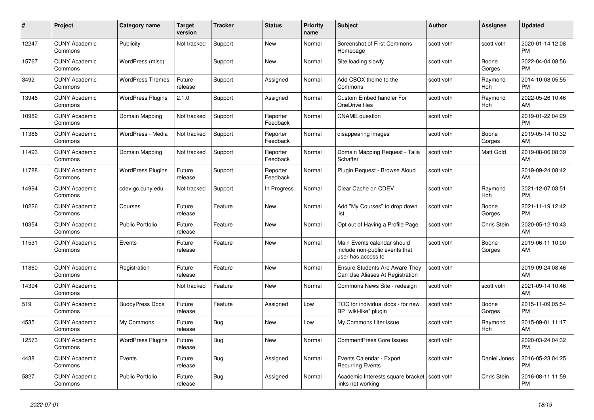| $\pmb{\sharp}$ | <b>Project</b>                  | Category name            | <b>Target</b><br>version | <b>Tracker</b> | <b>Status</b>        | <b>Priority</b><br>name | <b>Subject</b>                                                                      | <b>Author</b> | Assignee           | <b>Updated</b>                |
|----------------|---------------------------------|--------------------------|--------------------------|----------------|----------------------|-------------------------|-------------------------------------------------------------------------------------|---------------|--------------------|-------------------------------|
| 12247          | <b>CUNY Academic</b><br>Commons | Publicity                | Not tracked              | Support        | New                  | Normal                  | <b>Screenshot of First Commons</b><br>Homepage                                      | scott voth    | scott voth         | 2020-01-14 12:08<br><b>PM</b> |
| 15767          | <b>CUNY Academic</b><br>Commons | WordPress (misc)         |                          | Support        | New                  | Normal                  | Site loading slowly                                                                 | scott voth    | Boone<br>Gorges    | 2022-04-04 08:56<br><b>PM</b> |
| 3492           | <b>CUNY Academic</b><br>Commons | <b>WordPress Themes</b>  | Future<br>release        | Support        | Assigned             | Normal                  | Add CBOX theme to the<br>Commons                                                    | scott voth    | Raymond<br>Hoh     | 2014-10-08 05:55<br><b>PM</b> |
| 13946          | <b>CUNY Academic</b><br>Commons | <b>WordPress Plugins</b> | 2.1.0                    | Support        | Assigned             | Normal                  | Custom Embed handler For<br>OneDrive files                                          | scott voth    | Raymond<br>Hoh     | 2022-05-26 10:46<br>AM        |
| 10982          | <b>CUNY Academic</b><br>Commons | Domain Mapping           | Not tracked              | Support        | Reporter<br>Feedback | Normal                  | <b>CNAME</b> question                                                               | scott voth    |                    | 2019-01-22 04:29<br><b>PM</b> |
| 11386          | <b>CUNY Academic</b><br>Commons | WordPress - Media        | Not tracked              | Support        | Reporter<br>Feedback | Normal                  | disappearing images                                                                 | scott voth    | Boone<br>Gorges    | 2019-05-14 10:32<br>AM        |
| 11493          | <b>CUNY Academic</b><br>Commons | Domain Mapping           | Not tracked              | Support        | Reporter<br>Feedback | Normal                  | Domain Mapping Request - Talia<br>Schaffer                                          | scott voth    | Matt Gold          | 2019-08-06 08:39<br>AM        |
| 11788          | <b>CUNY Academic</b><br>Commons | <b>WordPress Plugins</b> | Future<br>release        | Support        | Reporter<br>Feedback | Normal                  | Plugin Request - Browse Aloud                                                       | scott voth    |                    | 2019-09-24 08:42<br>AM        |
| 14994          | <b>CUNY Academic</b><br>Commons | cdev.gc.cuny.edu         | Not tracked              | Support        | In Progress          | Normal                  | Clear Cache on CDEV                                                                 | scott voth    | Raymond<br>Hoh     | 2021-12-07 03:51<br><b>PM</b> |
| 10226          | <b>CUNY Academic</b><br>Commons | Courses                  | Future<br>release        | Feature        | New                  | Normal                  | Add "My Courses" to drop down<br>list                                               | scott voth    | Boone<br>Gorges    | 2021-11-19 12:42<br><b>PM</b> |
| 10354          | <b>CUNY Academic</b><br>Commons | Public Portfolio         | Future<br>release        | Feature        | <b>New</b>           | Normal                  | Opt out of Having a Profile Page                                                    | scott voth    | <b>Chris Stein</b> | 2020-05-12 10:43<br>AM        |
| 11531          | <b>CUNY Academic</b><br>Commons | Events                   | Future<br>release        | Feature        | New                  | Normal                  | Main Events calendar should<br>include non-public events that<br>user has access to | scott voth    | Boone<br>Gorges    | 2019-06-11 10:00<br>AM        |
| 11860          | <b>CUNY Academic</b><br>Commons | Registration             | Future<br>release        | Feature        | <b>New</b>           | Normal                  | <b>Ensure Students Are Aware They</b><br>Can Use Aliases At Registration            | scott voth    |                    | 2019-09-24 08:46<br>AM        |
| 14394          | <b>CUNY Academic</b><br>Commons |                          | Not tracked              | Feature        | New                  | Normal                  | Commons News Site - redesign                                                        | scott voth    | scott voth         | 2021-09-14 10:46<br>AM        |
| 519            | <b>CUNY Academic</b><br>Commons | <b>BuddyPress Docs</b>   | Future<br>release        | Feature        | Assigned             | Low                     | TOC for individual docs - for new<br>BP "wiki-like" plugin                          | scott voth    | Boone<br>Gorges    | 2015-11-09 05:54<br><b>PM</b> |
| 4535           | <b>CUNY Academic</b><br>Commons | My Commons               | Future<br>release        | <b>Bug</b>     | <b>New</b>           | Low                     | My Commons filter issue                                                             | scott voth    | Raymond<br>Hoh     | 2015-09-01 11:17<br>AM        |
| 12573          | <b>CUNY Academic</b><br>Commons | <b>WordPress Plugins</b> | Future<br>release        | Bug            | <b>New</b>           | Normal                  | <b>CommentPress Core Issues</b>                                                     | scott voth    |                    | 2020-03-24 04:32<br><b>PM</b> |
| 4438           | <b>CUNY Academic</b><br>Commons | Events                   | Future<br>release        | Bug            | Assigned             | Normal                  | Events Calendar - Export<br><b>Recurring Events</b>                                 | scott voth    | Daniel Jones       | 2016-05-23 04:25<br><b>PM</b> |
| 5827           | <b>CUNY Academic</b><br>Commons | Public Portfolio         | Future<br>release        | <b>Bug</b>     | Assigned             | Normal                  | Academic Interests square bracket<br>links not working                              | scott voth    | Chris Stein        | 2016-08-11 11:59<br><b>PM</b> |